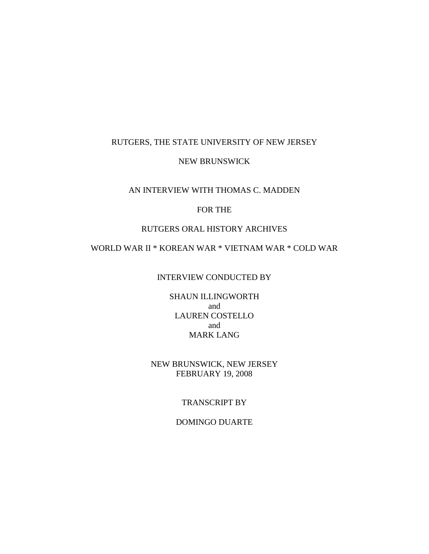#### RUTGERS, THE STATE UNIVERSITY OF NEW JERSEY

#### NEW BRUNSWICK

### AN INTERVIEW WITH THOMAS C. MADDEN

### FOR THE

### RUTGERS ORAL HISTORY ARCHIVES

# WORLD WAR II \* KOREAN WAR \* VIETNAM WAR \* COLD WAR

#### INTERVIEW CONDUCTED BY

SHAUN ILLINGWORTH and LAUREN COSTELLO and MARK LANG

## NEW BRUNSWICK, NEW JERSEY FEBRUARY 19, 2008

#### TRANSCRIPT BY

#### DOMINGO DUARTE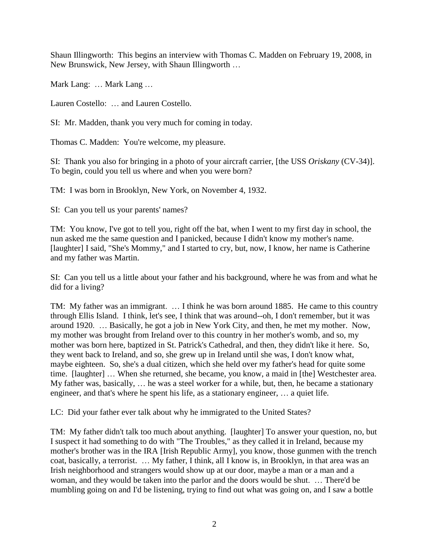Shaun Illingworth: This begins an interview with Thomas C. Madden on February 19, 2008, in New Brunswick, New Jersey, with Shaun Illingworth …

Mark Lang: … Mark Lang …

Lauren Costello: … and Lauren Costello.

SI: Mr. Madden, thank you very much for coming in today.

Thomas C. Madden: You're welcome, my pleasure.

SI: Thank you also for bringing in a photo of your aircraft carrier, [the USS *Oriskany* (CV-34)]. To begin, could you tell us where and when you were born?

TM: I was born in Brooklyn, New York, on November 4, 1932.

SI: Can you tell us your parents' names?

TM: You know, I've got to tell you, right off the bat, when I went to my first day in school, the nun asked me the same question and I panicked, because I didn't know my mother's name. [laughter] I said, "She's Mommy," and I started to cry, but, now, I know, her name is Catherine and my father was Martin.

SI: Can you tell us a little about your father and his background, where he was from and what he did for a living?

TM: My father was an immigrant. … I think he was born around 1885. He came to this country through Ellis Island. I think, let's see, I think that was around--oh, I don't remember, but it was around 1920. … Basically, he got a job in New York City, and then, he met my mother. Now, my mother was brought from Ireland over to this country in her mother's womb, and so, my mother was born here, baptized in St. Patrick's Cathedral, and then, they didn't like it here. So, they went back to Ireland, and so, she grew up in Ireland until she was, I don't know what, maybe eighteen. So, she's a dual citizen, which she held over my father's head for quite some time. [laughter] … When she returned, she became, you know, a maid in [the] Westchester area. My father was, basically, … he was a steel worker for a while, but, then, he became a stationary engineer, and that's where he spent his life, as a stationary engineer, … a quiet life.

LC: Did your father ever talk about why he immigrated to the United States?

TM: My father didn't talk too much about anything. [laughter] To answer your question, no, but I suspect it had something to do with "The Troubles," as they called it in Ireland, because my mother's brother was in the IRA [Irish Republic Army], you know, those gunmen with the trench coat, basically, a terrorist. … My father, I think, all I know is, in Brooklyn, in that area was an Irish neighborhood and strangers would show up at our door, maybe a man or a man and a woman, and they would be taken into the parlor and the doors would be shut. … There'd be mumbling going on and I'd be listening, trying to find out what was going on, and I saw a bottle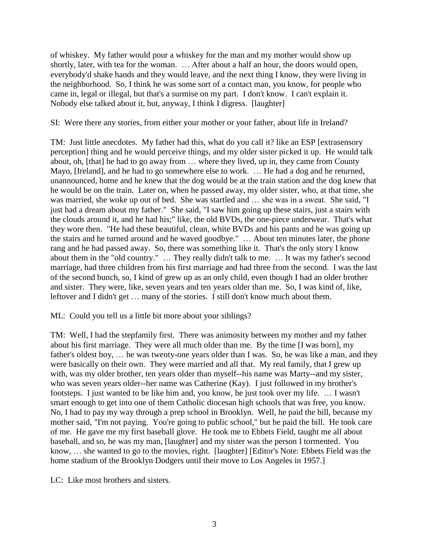of whiskey. My father would pour a whiskey for the man and my mother would show up shortly, later, with tea for the woman. … After about a half an hour, the doors would open, everybody'd shake hands and they would leave, and the next thing I know, they were living in the neighborhood. So, I think he was some sort of a contact man, you know, for people who came in, legal or illegal, but that's a surmise on my part. I don't know. I can't explain it. Nobody else talked about it, but, anyway, I think I digress. [laughter]

SI: Were there any stories, from either your mother or your father, about life in Ireland?

TM: Just little anecdotes. My father had this, what do you call it? like an ESP [extrasensory perception] thing and he would perceive things, and my older sister picked it up. He would talk about, oh, [that] he had to go away from … where they lived, up in, they came from County Mayo, [Ireland], and he had to go somewhere else to work. … He had a dog and he returned, unannounced, home and he knew that the dog would be at the train station and the dog knew that he would be on the train. Later on, when he passed away, my older sister, who, at that time, she was married, she woke up out of bed. She was startled and … she was in a sweat. She said, "I just had a dream about my father." She said, "I saw him going up these stairs, just a stairs with the clouds around it, and he had his;" like, the old BVDs, the one-piece underwear. That's what they wore then. "He had these beautiful, clean, white BVDs and his pants and he was going up the stairs and he turned around and he waved goodbye." … About ten minutes later, the phone rang and he had passed away. So, there was something like it. That's the only story I know about them in the "old country." … They really didn't talk to me. … It was my father's second marriage, had three children from his first marriage and had three from the second. I was the last of the second bunch, so, I kind of grew up as an only child, even though I had an older brother and sister. They were, like, seven years and ten years older than me. So, I was kind of, like, leftover and I didn't get … many of the stories. I still don't know much about them.

ML: Could you tell us a little bit more about your siblings?

TM: Well, I had the stepfamily first. There was animosity between my mother and my father about his first marriage. They were all much older than me. By the time [I was born], my father's oldest boy, … he was twenty-one years older than I was. So, he was like a man, and they were basically on their own. They were married and all that. My real family, that I grew up with, was my older brother, ten years older than myself--his name was Marty--and my sister, who was seven years older--her name was Catherine (Kay). I just followed in my brother's footsteps. I just wanted to be like him and, you know, he just took over my life. … I wasn't smart enough to get into one of them Catholic diocesan high schools that was free, you know. No, I had to pay my way through a prep school in Brooklyn. Well, he paid the bill, because my mother said, "I'm not paying. You're going to public school," but he paid the bill. He took care of me. He gave me my first baseball glove. He took me to Ebbets Field, taught me all about baseball, and so, he was my man, [laughter] and my sister was the person I tormented. You know, … she wanted to go to the movies, right. [laughter] [Editor's Note: Ebbets Field was the home stadium of the Brooklyn Dodgers until their move to Los Angeles in 1957.]

LC: Like most brothers and sisters.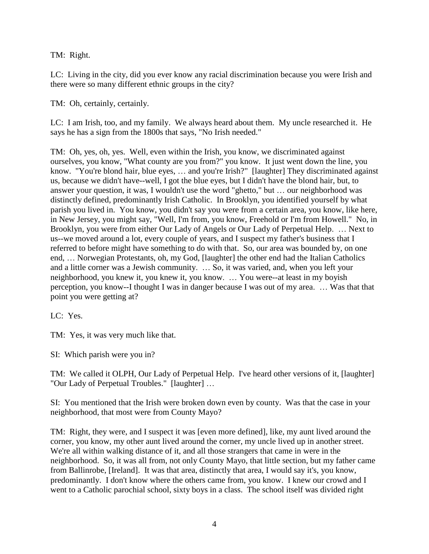TM: Right.

LC: Living in the city, did you ever know any racial discrimination because you were Irish and there were so many different ethnic groups in the city?

TM: Oh, certainly, certainly.

LC: I am Irish, too, and my family. We always heard about them. My uncle researched it. He says he has a sign from the 1800s that says, "No Irish needed."

TM: Oh, yes, oh, yes. Well, even within the Irish, you know, we discriminated against ourselves, you know, "What county are you from?" you know. It just went down the line, you know. "You're blond hair, blue eyes, … and you're Irish?" [laughter] They discriminated against us, because we didn't have--well, I got the blue eyes, but I didn't have the blond hair, but, to answer your question, it was, I wouldn't use the word "ghetto," but … our neighborhood was distinctly defined, predominantly Irish Catholic. In Brooklyn, you identified yourself by what parish you lived in. You know, you didn't say you were from a certain area, you know, like here, in New Jersey, you might say, "Well, I'm from, you know, Freehold or I'm from Howell." No, in Brooklyn, you were from either Our Lady of Angels or Our Lady of Perpetual Help. … Next to us--we moved around a lot, every couple of years, and I suspect my father's business that I referred to before might have something to do with that. So, our area was bounded by, on one end, … Norwegian Protestants, oh, my God, [laughter] the other end had the Italian Catholics and a little corner was a Jewish community. … So, it was varied, and, when you left your neighborhood, you knew it, you knew it, you know. … You were--at least in my boyish perception, you know--I thought I was in danger because I was out of my area. … Was that that point you were getting at?

LC: Yes.

TM: Yes, it was very much like that.

SI: Which parish were you in?

TM: We called it OLPH, Our Lady of Perpetual Help. I've heard other versions of it, [laughter] "Our Lady of Perpetual Troubles." [laughter] …

SI: You mentioned that the Irish were broken down even by county. Was that the case in your neighborhood, that most were from County Mayo?

TM: Right, they were, and I suspect it was [even more defined], like, my aunt lived around the corner, you know, my other aunt lived around the corner, my uncle lived up in another street. We're all within walking distance of it, and all those strangers that came in were in the neighborhood. So, it was all from, not only County Mayo, that little section, but my father came from Ballinrobe, [Ireland]. It was that area, distinctly that area, I would say it's, you know, predominantly. I don't know where the others came from, you know. I knew our crowd and I went to a Catholic parochial school, sixty boys in a class. The school itself was divided right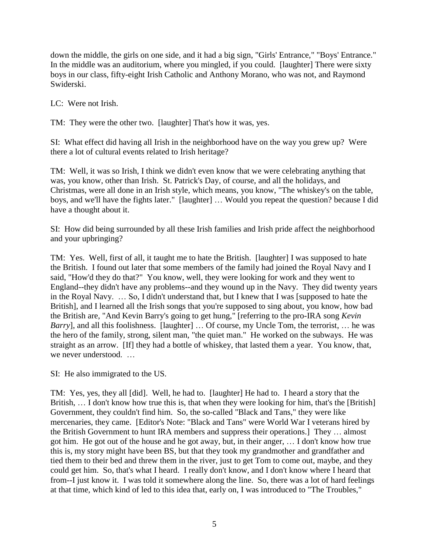down the middle, the girls on one side, and it had a big sign, "Girls' Entrance," "Boys' Entrance." In the middle was an auditorium, where you mingled, if you could. [laughter] There were sixty boys in our class, fifty-eight Irish Catholic and Anthony Morano, who was not, and Raymond Swiderski.

LC: Were not Irish.

TM: They were the other two. [laughter] That's how it was, yes.

SI: What effect did having all Irish in the neighborhood have on the way you grew up? Were there a lot of cultural events related to Irish heritage?

TM: Well, it was so Irish, I think we didn't even know that we were celebrating anything that was, you know, other than Irish. St. Patrick's Day, of course, and all the holidays, and Christmas, were all done in an Irish style, which means, you know, "The whiskey's on the table, boys, and we'll have the fights later." [laughter] … Would you repeat the question? because I did have a thought about it.

SI: How did being surrounded by all these Irish families and Irish pride affect the neighborhood and your upbringing?

TM: Yes. Well, first of all, it taught me to hate the British. [laughter] I was supposed to hate the British. I found out later that some members of the family had joined the Royal Navy and I said, "How'd they do that?" You know, well, they were looking for work and they went to England--they didn't have any problems--and they wound up in the Navy. They did twenty years in the Royal Navy. … So, I didn't understand that, but I knew that I was [supposed to hate the British], and I learned all the Irish songs that you're supposed to sing about, you know, how bad the British are, "And Kevin Barry's going to get hung," [referring to the pro-IRA song *Kevin Barry*], and all this foolishness. [laughter] ... Of course, my Uncle Tom, the terrorist, ... he was the hero of the family, strong, silent man, "the quiet man." He worked on the subways. He was straight as an arrow. [If] they had a bottle of whiskey, that lasted them a year. You know, that, we never understood. …

SI: He also immigrated to the US.

TM: Yes, yes, they all [did]. Well, he had to. [laughter] He had to. I heard a story that the British, ... I don't know how true this is, that when they were looking for him, that's the [British] Government, they couldn't find him. So, the so-called "Black and Tans," they were like mercenaries, they came. [Editor's Note: "Black and Tans" were World War I veterans hired by the British Government to hunt IRA members and suppress their operations.] They … almost got him. He got out of the house and he got away, but, in their anger, … I don't know how true this is, my story might have been BS, but that they took my grandmother and grandfather and tied them to their bed and threw them in the river, just to get Tom to come out, maybe, and they could get him. So, that's what I heard. I really don't know, and I don't know where I heard that from--I just know it. I was told it somewhere along the line. So, there was a lot of hard feelings at that time, which kind of led to this idea that, early on, I was introduced to "The Troubles,"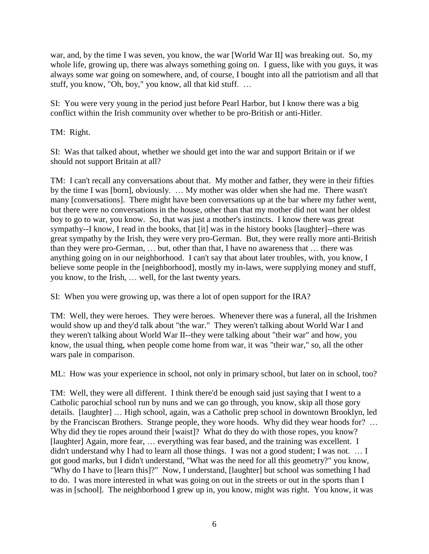war, and, by the time I was seven, you know, the war [World War II] was breaking out. So, my whole life, growing up, there was always something going on. I guess, like with you guys, it was always some war going on somewhere, and, of course, I bought into all the patriotism and all that stuff, you know, "Oh, boy," you know, all that kid stuff. …

SI: You were very young in the period just before Pearl Harbor, but I know there was a big conflict within the Irish community over whether to be pro-British or anti-Hitler.

TM: Right.

SI: Was that talked about, whether we should get into the war and support Britain or if we should not support Britain at all?

TM: I can't recall any conversations about that. My mother and father, they were in their fifties by the time I was [born], obviously. … My mother was older when she had me. There wasn't many [conversations]. There might have been conversations up at the bar where my father went, but there were no conversations in the house, other than that my mother did not want her oldest boy to go to war, you know. So, that was just a mother's instincts. I know there was great sympathy--I know, I read in the books, that [it] was in the history books [laughter]--there was great sympathy by the Irish, they were very pro-German. But, they were really more anti-British than they were pro-German, … but, other than that, I have no awareness that … there was anything going on in our neighborhood. I can't say that about later troubles, with, you know, I believe some people in the [neighborhood], mostly my in-laws, were supplying money and stuff, you know, to the Irish, … well, for the last twenty years.

SI: When you were growing up, was there a lot of open support for the IRA?

TM: Well, they were heroes. They were heroes. Whenever there was a funeral, all the Irishmen would show up and they'd talk about "the war." They weren't talking about World War I and they weren't talking about World War II--they were talking about "their war" and how, you know, the usual thing, when people come home from war, it was "their war," so, all the other wars pale in comparison.

ML: How was your experience in school, not only in primary school, but later on in school, too?

TM: Well, they were all different. I think there'd be enough said just saying that I went to a Catholic parochial school run by nuns and we can go through, you know, skip all those gory details. [laughter] … High school, again, was a Catholic prep school in downtown Brooklyn, led by the Franciscan Brothers. Strange people, they wore hoods. Why did they wear hoods for? … Why did they tie ropes around their [waist]? What do they do with those ropes, you know? [laughter] Again, more fear, … everything was fear based, and the training was excellent. I didn't understand why I had to learn all those things. I was not a good student; I was not. … I got good marks, but I didn't understand, "What was the need for all this geometry?" you know, "Why do I have to [learn this]?" Now, I understand, [laughter] but school was something I had to do. I was more interested in what was going on out in the streets or out in the sports than I was in [school]. The neighborhood I grew up in, you know, might was right. You know, it was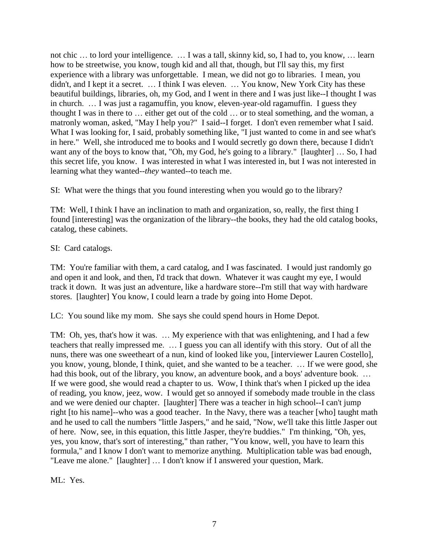not chic … to lord your intelligence. … I was a tall, skinny kid, so, I had to, you know, … learn how to be streetwise, you know, tough kid and all that, though, but I'll say this, my first experience with a library was unforgettable. I mean, we did not go to libraries. I mean, you didn't, and I kept it a secret. … I think I was eleven. … You know, New York City has these beautiful buildings, libraries, oh, my God, and I went in there and I was just like--I thought I was in church. … I was just a ragamuffin, you know, eleven-year-old ragamuffin. I guess they thought I was in there to … either get out of the cold … or to steal something, and the woman, a matronly woman, asked, "May I help you?" I said--I forget. I don't even remember what I said. What I was looking for, I said, probably something like, "I just wanted to come in and see what's in here." Well, she introduced me to books and I would secretly go down there, because I didn't want any of the boys to know that, "Oh, my God, he's going to a library." [laughter] … So, I had this secret life, you know. I was interested in what I was interested in, but I was not interested in learning what they wanted--*they* wanted--to teach me.

SI: What were the things that you found interesting when you would go to the library?

TM: Well, I think I have an inclination to math and organization, so, really, the first thing I found [interesting] was the organization of the library--the books, they had the old catalog books, catalog, these cabinets.

## SI: Card catalogs.

TM: You're familiar with them, a card catalog, and I was fascinated. I would just randomly go and open it and look, and then, I'd track that down. Whatever it was caught my eye, I would track it down. It was just an adventure, like a hardware store--I'm still that way with hardware stores. [laughter] You know, I could learn a trade by going into Home Depot.

LC: You sound like my mom. She says she could spend hours in Home Depot.

TM: Oh, yes, that's how it was. … My experience with that was enlightening, and I had a few teachers that really impressed me. … I guess you can all identify with this story. Out of all the nuns, there was one sweetheart of a nun, kind of looked like you, [interviewer Lauren Costello], you know, young, blonde, I think, quiet, and she wanted to be a teacher. … If we were good, she had this book, out of the library, you know, an adventure book, and a boys' adventure book. ... If we were good, she would read a chapter to us. Wow, I think that's when I picked up the idea of reading, you know, jeez, wow. I would get so annoyed if somebody made trouble in the class and we were denied our chapter. [laughter] There was a teacher in high school--I can't jump right [to his name]--who was a good teacher. In the Navy, there was a teacher [who] taught math and he used to call the numbers "little Jaspers," and he said, "Now, we'll take this little Jasper out of here. Now, see, in this equation, this little Jasper, they're buddies." I'm thinking, "Oh, yes, yes, you know, that's sort of interesting," than rather, "You know, well, you have to learn this formula," and I know I don't want to memorize anything. Multiplication table was bad enough, "Leave me alone." [laughter] … I don't know if I answered your question, Mark.

ML: Yes.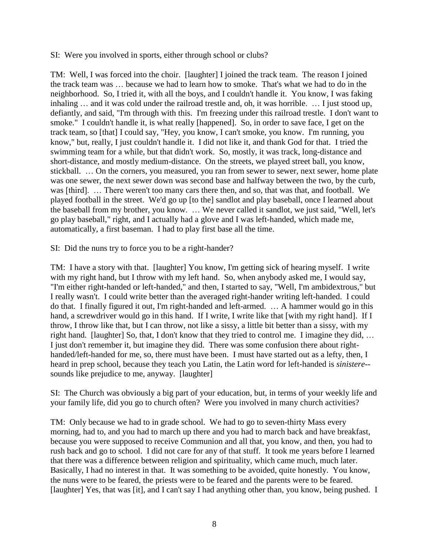SI: Were you involved in sports, either through school or clubs?

TM: Well, I was forced into the choir. [laughter] I joined the track team. The reason I joined the track team was … because we had to learn how to smoke. That's what we had to do in the neighborhood. So, I tried it, with all the boys, and I couldn't handle it. You know, I was faking inhaling … and it was cold under the railroad trestle and, oh, it was horrible. … I just stood up, defiantly, and said, "I'm through with this. I'm freezing under this railroad trestle. I don't want to smoke." I couldn't handle it, is what really [happened]. So, in order to save face, I get on the track team, so [that] I could say, "Hey, you know, I can't smoke, you know. I'm running, you know," but, really, I just couldn't handle it. I did not like it, and thank God for that. I tried the swimming team for a while, but that didn't work. So, mostly, it was track, long-distance and short-distance, and mostly medium-distance. On the streets, we played street ball, you know, stickball. … On the corners, you measured, you ran from sewer to sewer, next sewer, home plate was one sewer, the next sewer down was second base and halfway between the two, by the curb, was [third]. … There weren't too many cars there then, and so, that was that, and football. We played football in the street. We'd go up [to the] sandlot and play baseball, once I learned about the baseball from my brother, you know. … We never called it sandlot, we just said, "Well, let's go play baseball," right, and I actually had a glove and I was left-handed, which made me, automatically, a first baseman. I had to play first base all the time.

SI: Did the nuns try to force you to be a right-hander?

TM: I have a story with that. [laughter] You know, I'm getting sick of hearing myself. I write with my right hand, but I throw with my left hand. So, when anybody asked me, I would say, "I'm either right-handed or left-handed," and then, I started to say, "Well, I'm ambidextrous," but I really wasn't. I could write better than the averaged right-hander writing left-handed. I could do that. I finally figured it out, I'm right-handed and left-armed. … A hammer would go in this hand, a screwdriver would go in this hand. If I write, I write like that [with my right hand]. If I throw, I throw like that, but I can throw, not like a sissy, a little bit better than a sissy, with my right hand. [laughter] So, that, I don't know that they tried to control me. I imagine they did, … I just don't remember it, but imagine they did. There was some confusion there about righthanded/left-handed for me, so, there must have been. I must have started out as a lefty, then, I heard in prep school, because they teach you Latin, the Latin word for left-handed is *sinistere*- sounds like prejudice to me, anyway. [laughter]

SI: The Church was obviously a big part of your education, but, in terms of your weekly life and your family life, did you go to church often? Were you involved in many church activities?

TM: Only because we had to in grade school. We had to go to seven-thirty Mass every morning, had to, and you had to march up there and you had to march back and have breakfast, because you were supposed to receive Communion and all that, you know, and then, you had to rush back and go to school. I did not care for any of that stuff. It took me years before I learned that there was a difference between religion and spirituality, which came much, much later. Basically, I had no interest in that. It was something to be avoided, quite honestly. You know, the nuns were to be feared, the priests were to be feared and the parents were to be feared. [laughter] Yes, that was [it], and I can't say I had anything other than, you know, being pushed. I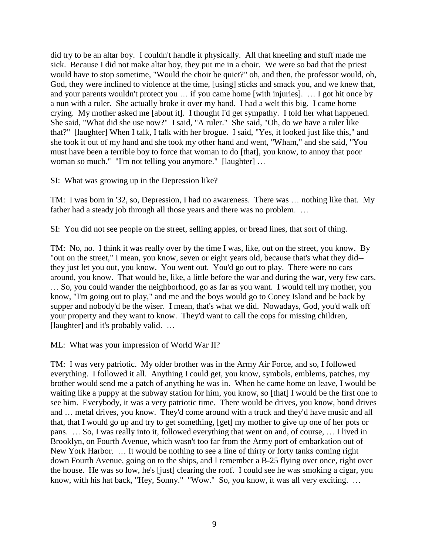did try to be an altar boy. I couldn't handle it physically. All that kneeling and stuff made me sick. Because I did not make altar boy, they put me in a choir. We were so bad that the priest would have to stop sometime, "Would the choir be quiet?" oh, and then, the professor would, oh, God, they were inclined to violence at the time, [using] sticks and smack you, and we knew that, and your parents wouldn't protect you … if you came home [with injuries]. … I got hit once by a nun with a ruler. She actually broke it over my hand. I had a welt this big. I came home crying. My mother asked me [about it]. I thought I'd get sympathy. I told her what happened. She said, "What did she use now?" I said, "A ruler." She said, "Oh, do we have a ruler like that?" [laughter] When I talk, I talk with her brogue. I said, "Yes, it looked just like this," and she took it out of my hand and she took my other hand and went, "Wham," and she said, "You must have been a terrible boy to force that woman to do [that], you know, to annoy that poor woman so much." "I'm not telling you anymore." [laughter] ...

SI: What was growing up in the Depression like?

TM: I was born in '32, so, Depression, I had no awareness. There was … nothing like that. My father had a steady job through all those years and there was no problem. ...

SI: You did not see people on the street, selling apples, or bread lines, that sort of thing.

TM: No, no. I think it was really over by the time I was, like, out on the street, you know. By "out on the street," I mean, you know, seven or eight years old, because that's what they did- they just let you out, you know. You went out. You'd go out to play. There were no cars around, you know. That would be, like, a little before the war and during the war, very few cars. … So, you could wander the neighborhood, go as far as you want. I would tell my mother, you know, "I'm going out to play," and me and the boys would go to Coney Island and be back by supper and nobody'd be the wiser. I mean, that's what we did. Nowadays, God, you'd walk off your property and they want to know. They'd want to call the cops for missing children, [laughter] and it's probably valid. ...

ML: What was your impression of World War II?

TM: I was very patriotic. My older brother was in the Army Air Force, and so, I followed everything. I followed it all. Anything I could get, you know, symbols, emblems, patches, my brother would send me a patch of anything he was in. When he came home on leave, I would be waiting like a puppy at the subway station for him, you know, so [that] I would be the first one to see him. Everybody, it was a very patriotic time. There would be drives, you know, bond drives and … metal drives, you know. They'd come around with a truck and they'd have music and all that, that I would go up and try to get something, [get] my mother to give up one of her pots or pans. … So, I was really into it, followed everything that went on and, of course, … I lived in Brooklyn, on Fourth Avenue, which wasn't too far from the Army port of embarkation out of New York Harbor. … It would be nothing to see a line of thirty or forty tanks coming right down Fourth Avenue, going on to the ships, and I remember a B-25 flying over once, right over the house. He was so low, he's [just] clearing the roof. I could see he was smoking a cigar, you know, with his hat back, "Hey, Sonny." "Wow." So, you know, it was all very exciting. ...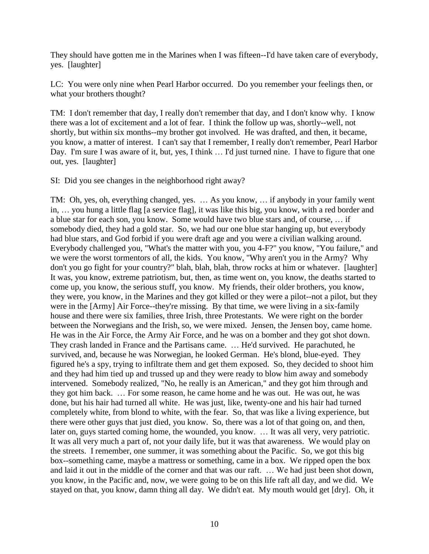They should have gotten me in the Marines when I was fifteen--I'd have taken care of everybody, yes. [laughter]

LC: You were only nine when Pearl Harbor occurred. Do you remember your feelings then, or what your brothers thought?

TM: I don't remember that day, I really don't remember that day, and I don't know why. I know there was a lot of excitement and a lot of fear. I think the follow up was, shortly--well, not shortly, but within six months--my brother got involved. He was drafted, and then, it became, you know, a matter of interest. I can't say that I remember, I really don't remember, Pearl Harbor Day. I'm sure I was aware of it, but, yes, I think ... I'd just turned nine. I have to figure that one out, yes. [laughter]

SI: Did you see changes in the neighborhood right away?

TM: Oh, yes, oh, everything changed, yes. … As you know, … if anybody in your family went in, … you hung a little flag [a service flag], it was like this big, you know, with a red border and a blue star for each son, you know. Some would have two blue stars and, of course, … if somebody died, they had a gold star. So, we had our one blue star hanging up, but everybody had blue stars, and God forbid if you were draft age and you were a civilian walking around. Everybody challenged you, "What's the matter with you, you 4-F?" you know, "You failure," and we were the worst tormentors of all, the kids. You know, "Why aren't you in the Army? Why don't you go fight for your country?" blah, blah, blah, throw rocks at him or whatever. [laughter] It was, you know, extreme patriotism, but, then, as time went on, you know, the deaths started to come up, you know, the serious stuff, you know. My friends, their older brothers, you know, they were, you know, in the Marines and they got killed or they were a pilot--not a pilot, but they were in the [Army] Air Force--they're missing. By that time, we were living in a six-family house and there were six families, three Irish, three Protestants. We were right on the border between the Norwegians and the Irish, so, we were mixed. Jensen, the Jensen boy, came home. He was in the Air Force, the Army Air Force, and he was on a bomber and they got shot down. They crash landed in France and the Partisans came. … He'd survived. He parachuted, he survived, and, because he was Norwegian, he looked German. He's blond, blue-eyed. They figured he's a spy, trying to infiltrate them and get them exposed. So, they decided to shoot him and they had him tied up and trussed up and they were ready to blow him away and somebody intervened. Somebody realized, "No, he really is an American," and they got him through and they got him back. … For some reason, he came home and he was out. He was out, he was done, but his hair had turned all white. He was just, like, twenty-one and his hair had turned completely white, from blond to white, with the fear. So, that was like a living experience, but there were other guys that just died, you know. So, there was a lot of that going on, and then, later on, guys started coming home, the wounded, you know. … It was all very, very patriotic. It was all very much a part of, not your daily life, but it was that awareness. We would play on the streets. I remember, one summer, it was something about the Pacific. So, we got this big box--something came, maybe a mattress or something, came in a box. We ripped open the box and laid it out in the middle of the corner and that was our raft. … We had just been shot down, you know, in the Pacific and, now, we were going to be on this life raft all day, and we did. We stayed on that, you know, damn thing all day. We didn't eat. My mouth would get [dry]. Oh, it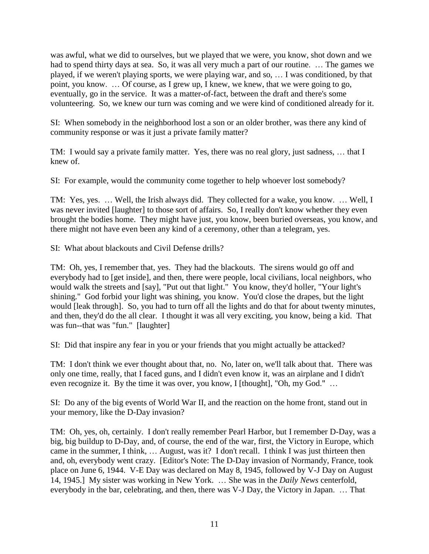was awful, what we did to ourselves, but we played that we were, you know, shot down and we had to spend thirty days at sea. So, it was all very much a part of our routine. … The games we played, if we weren't playing sports, we were playing war, and so, … I was conditioned, by that point, you know. … Of course, as I grew up, I knew, we knew, that we were going to go, eventually, go in the service. It was a matter-of-fact, between the draft and there's some volunteering. So, we knew our turn was coming and we were kind of conditioned already for it.

SI: When somebody in the neighborhood lost a son or an older brother, was there any kind of community response or was it just a private family matter?

TM: I would say a private family matter. Yes, there was no real glory, just sadness, … that I knew of.

SI: For example, would the community come together to help whoever lost somebody?

TM: Yes, yes. … Well, the Irish always did. They collected for a wake, you know. … Well, I was never invited [laughter] to those sort of affairs. So, I really don't know whether they even brought the bodies home. They might have just, you know, been buried overseas, you know, and there might not have even been any kind of a ceremony, other than a telegram, yes.

SI: What about blackouts and Civil Defense drills?

TM: Oh, yes, I remember that, yes. They had the blackouts. The sirens would go off and everybody had to [get inside], and then, there were people, local civilians, local neighbors, who would walk the streets and [say], "Put out that light." You know, they'd holler, "Your light's shining." God forbid your light was shining, you know. You'd close the drapes, but the light would [leak through]. So, you had to turn off all the lights and do that for about twenty minutes, and then, they'd do the all clear. I thought it was all very exciting, you know, being a kid. That was fun--that was "fun." [laughter]

SI: Did that inspire any fear in you or your friends that you might actually be attacked?

TM: I don't think we ever thought about that, no. No, later on, we'll talk about that. There was only one time, really, that I faced guns, and I didn't even know it, was an airplane and I didn't even recognize it. By the time it was over, you know, I [thought], "Oh, my God." ...

SI: Do any of the big events of World War II, and the reaction on the home front, stand out in your memory, like the D-Day invasion?

TM: Oh, yes, oh, certainly. I don't really remember Pearl Harbor, but I remember D-Day, was a big, big buildup to D-Day, and, of course, the end of the war, first, the Victory in Europe, which came in the summer, I think, … August, was it? I don't recall. I think I was just thirteen then and, oh, everybody went crazy. [Editor's Note: The D-Day invasion of Normandy, France, took place on June 6, 1944. V-E Day was declared on May 8, 1945, followed by V-J Day on August 14, 1945.] My sister was working in New York. … She was in the *Daily News* centerfold, everybody in the bar, celebrating, and then, there was V-J Day, the Victory in Japan. … That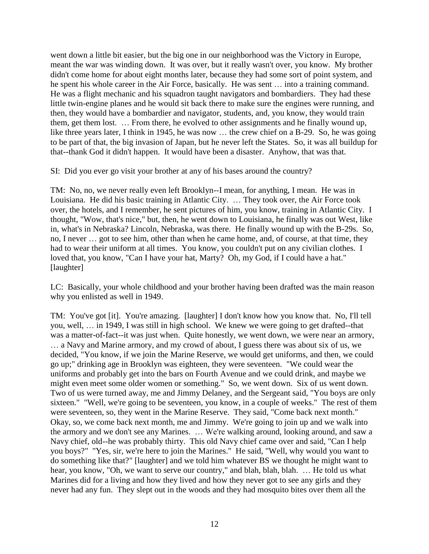went down a little bit easier, but the big one in our neighborhood was the Victory in Europe, meant the war was winding down. It was over, but it really wasn't over, you know. My brother didn't come home for about eight months later, because they had some sort of point system, and he spent his whole career in the Air Force, basically. He was sent … into a training command. He was a flight mechanic and his squadron taught navigators and bombardiers. They had these little twin-engine planes and he would sit back there to make sure the engines were running, and then, they would have a bombardier and navigator, students, and, you know, they would train them, get them lost. … From there, he evolved to other assignments and he finally wound up, like three years later, I think in 1945, he was now ... the crew chief on a B-29. So, he was going to be part of that, the big invasion of Japan, but he never left the States. So, it was all buildup for that--thank God it didn't happen. It would have been a disaster. Anyhow, that was that.

SI: Did you ever go visit your brother at any of his bases around the country?

TM: No, no, we never really even left Brooklyn--I mean, for anything, I mean. He was in Louisiana. He did his basic training in Atlantic City. … They took over, the Air Force took over, the hotels, and I remember, he sent pictures of him, you know, training in Atlantic City. I thought, "Wow, that's nice," but, then, he went down to Louisiana, he finally was out West, like in, what's in Nebraska? Lincoln, Nebraska, was there. He finally wound up with the B-29s. So, no, I never … got to see him, other than when he came home, and, of course, at that time, they had to wear their uniform at all times. You know, you couldn't put on any civilian clothes. I loved that, you know, "Can I have your hat, Marty? Oh, my God, if I could have a hat." [laughter]

LC: Basically, your whole childhood and your brother having been drafted was the main reason why you enlisted as well in 1949.

TM: You've got [it]. You're amazing. [laughter] I don't know how you know that. No, I'll tell you, well, … in 1949, I was still in high school. We knew we were going to get drafted--that was a matter-of-fact--it was just when. Quite honestly, we went down, we were near an armory, … a Navy and Marine armory, and my crowd of about, I guess there was about six of us, we decided, "You know, if we join the Marine Reserve, we would get uniforms, and then, we could go up;" drinking age in Brooklyn was eighteen, they were seventeen. "We could wear the uniforms and probably get into the bars on Fourth Avenue and we could drink, and maybe we might even meet some older women or something." So, we went down. Six of us went down. Two of us were turned away, me and Jimmy Delaney, and the Sergeant said, "You boys are only sixteen." "Well, we're going to be seventeen, you know, in a couple of weeks." The rest of them were seventeen, so, they went in the Marine Reserve. They said, "Come back next month." Okay, so, we come back next month, me and Jimmy. We're going to join up and we walk into the armory and we don't see any Marines. … We're walking around, looking around, and saw a Navy chief, old--he was probably thirty. This old Navy chief came over and said, "Can I help you boys?" "Yes, sir, we're here to join the Marines." He said, "Well, why would you want to do something like that?" [laughter] and we told him whatever BS we thought he might want to hear, you know, "Oh, we want to serve our country," and blah, blah, blah. ... He told us what Marines did for a living and how they lived and how they never got to see any girls and they never had any fun. They slept out in the woods and they had mosquito bites over them all the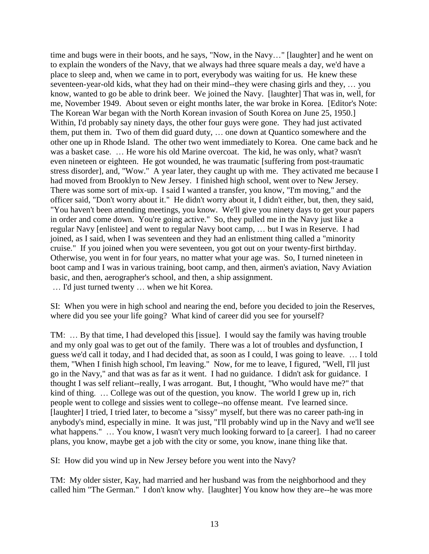time and bugs were in their boots, and he says, "Now, in the Navy…" [laughter] and he went on to explain the wonders of the Navy, that we always had three square meals a day, we'd have a place to sleep and, when we came in to port, everybody was waiting for us. He knew these seventeen-year-old kids, what they had on their mind--they were chasing girls and they, … you know, wanted to go be able to drink beer. We joined the Navy. [laughter] That was in, well, for me, November 1949. About seven or eight months later, the war broke in Korea. [Editor's Note: The Korean War began with the North Korean invasion of South Korea on June 25, 1950.] Within, I'd probably say ninety days, the other four guys were gone. They had just activated them, put them in. Two of them did guard duty, … one down at Quantico somewhere and the other one up in Rhode Island. The other two went immediately to Korea. One came back and he was a basket case. … He wore his old Marine overcoat. The kid, he was only, what? wasn't even nineteen or eighteen. He got wounded, he was traumatic [suffering from post-traumatic stress disorder], and, "Wow." A year later, they caught up with me. They activated me because I had moved from Brooklyn to New Jersey. I finished high school, went over to New Jersey. There was some sort of mix-up. I said I wanted a transfer, you know, "I'm moving," and the officer said, "Don't worry about it." He didn't worry about it, I didn't either, but, then, they said, "You haven't been attending meetings, you know. We'll give you ninety days to get your papers in order and come down. You're going active." So, they pulled me in the Navy just like a regular Navy [enlistee] and went to regular Navy boot camp, … but I was in Reserve. I had joined, as I said, when I was seventeen and they had an enlistment thing called a "minority cruise." If you joined when you were seventeen, you got out on your twenty-first birthday. Otherwise, you went in for four years, no matter what your age was. So, I turned nineteen in boot camp and I was in various training, boot camp, and then, airmen's aviation, Navy Aviation basic, and then, aerographer's school, and then, a ship assignment.

… I'd just turned twenty … when we hit Korea.

SI: When you were in high school and nearing the end, before you decided to join the Reserves, where did you see your life going? What kind of career did you see for yourself?

TM: … By that time, I had developed this [issue]. I would say the family was having trouble and my only goal was to get out of the family. There was a lot of troubles and dysfunction, I guess we'd call it today, and I had decided that, as soon as I could, I was going to leave. … I told them, "When I finish high school, I'm leaving." Now, for me to leave, I figured, "Well, I'll just go in the Navy," and that was as far as it went. I had no guidance. I didn't ask for guidance. I thought I was self reliant--really, I was arrogant. But, I thought, "Who would have me?" that kind of thing. … College was out of the question, you know. The world I grew up in, rich people went to college and sissies went to college--no offense meant. I've learned since. [laughter] I tried, I tried later, to become a "sissy" myself, but there was no career path-ing in anybody's mind, especially in mine. It was just, "I'll probably wind up in the Navy and we'll see what happens." ... You know, I wasn't very much looking forward to [a career]. I had no career plans, you know, maybe get a job with the city or some, you know, inane thing like that.

SI: How did you wind up in New Jersey before you went into the Navy?

TM: My older sister, Kay, had married and her husband was from the neighborhood and they called him "The German." I don't know why. [laughter] You know how they are--he was more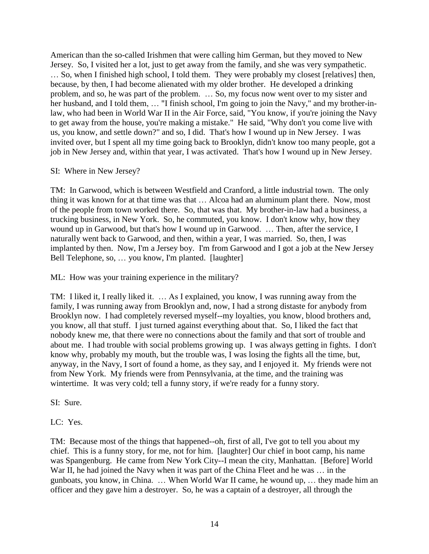American than the so-called Irishmen that were calling him German, but they moved to New Jersey. So, I visited her a lot, just to get away from the family, and she was very sympathetic. … So, when I finished high school, I told them. They were probably my closest [relatives] then, because, by then, I had become alienated with my older brother. He developed a drinking problem, and so, he was part of the problem. … So, my focus now went over to my sister and her husband, and I told them, … "I finish school, I'm going to join the Navy," and my brother-inlaw, who had been in World War II in the Air Force, said, "You know, if you're joining the Navy to get away from the house, you're making a mistake." He said, "Why don't you come live with us, you know, and settle down?" and so, I did. That's how I wound up in New Jersey. I was invited over, but I spent all my time going back to Brooklyn, didn't know too many people, got a job in New Jersey and, within that year, I was activated. That's how I wound up in New Jersey.

SI: Where in New Jersey?

TM: In Garwood, which is between Westfield and Cranford, a little industrial town. The only thing it was known for at that time was that … Alcoa had an aluminum plant there. Now, most of the people from town worked there. So, that was that. My brother-in-law had a business, a trucking business, in New York. So, he commuted, you know. I don't know why, how they wound up in Garwood, but that's how I wound up in Garwood. … Then, after the service, I naturally went back to Garwood, and then, within a year, I was married. So, then, I was implanted by then. Now, I'm a Jersey boy. I'm from Garwood and I got a job at the New Jersey Bell Telephone, so, ... you know, I'm planted. [laughter]

ML: How was your training experience in the military?

TM: I liked it, I really liked it. … As I explained, you know, I was running away from the family, I was running away from Brooklyn and, now, I had a strong distaste for anybody from Brooklyn now. I had completely reversed myself--my loyalties, you know, blood brothers and, you know, all that stuff. I just turned against everything about that. So, I liked the fact that nobody knew me, that there were no connections about the family and that sort of trouble and about me. I had trouble with social problems growing up. I was always getting in fights. I don't know why, probably my mouth, but the trouble was, I was losing the fights all the time, but, anyway, in the Navy, I sort of found a home, as they say, and I enjoyed it. My friends were not from New York. My friends were from Pennsylvania, at the time, and the training was wintertime. It was very cold; tell a funny story, if we're ready for a funny story.

SI: Sure.

LC: Yes.

TM: Because most of the things that happened--oh, first of all, I've got to tell you about my chief. This is a funny story, for me, not for him. [laughter] Our chief in boot camp, his name was Spangenburg. He came from New York City--I mean the city, Manhattan. [Before] World War II, he had joined the Navy when it was part of the China Fleet and he was ... in the gunboats, you know, in China. … When World War II came, he wound up, … they made him an officer and they gave him a destroyer. So, he was a captain of a destroyer, all through the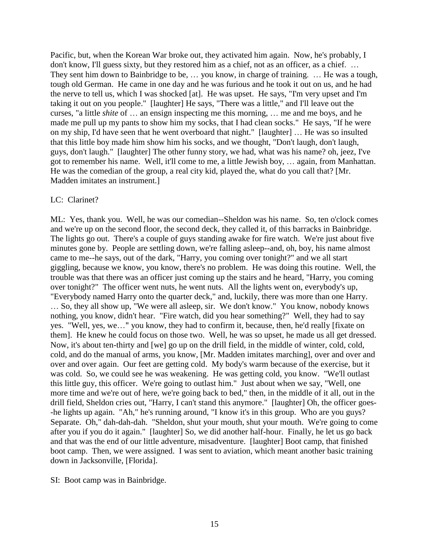Pacific, but, when the Korean War broke out, they activated him again. Now, he's probably, I don't know, I'll guess sixty, but they restored him as a chief, not as an officer, as a chief. … They sent him down to Bainbridge to be, … you know, in charge of training. … He was a tough, tough old German. He came in one day and he was furious and he took it out on us, and he had the nerve to tell us, which I was shocked [at]. He was upset. He says, "I'm very upset and I'm taking it out on you people." [laughter] He says, "There was a little," and I'll leave out the curses, "a little *shite* of … an ensign inspecting me this morning, … me and me boys, and he made me pull up my pants to show him my socks, that I had clean socks." He says, "If he were on my ship, I'd have seen that he went overboard that night." [laughter] … He was so insulted that this little boy made him show him his socks, and we thought, "Don't laugh, don't laugh, guys, don't laugh." [laughter] The other funny story, we had, what was his name? oh, jeez, I've got to remember his name. Well, it'll come to me, a little Jewish boy, … again, from Manhattan. He was the comedian of the group, a real city kid, played the, what do you call that? [Mr. Madden imitates an instrument.]

### LC: Clarinet?

ML: Yes, thank you. Well, he was our comedian--Sheldon was his name. So, ten o'clock comes and we're up on the second floor, the second deck, they called it, of this barracks in Bainbridge. The lights go out. There's a couple of guys standing awake for fire watch. We're just about five minutes gone by. People are settling down, we're falling asleep--and, oh, boy, his name almost came to me--he says, out of the dark, "Harry, you coming over tonight?" and we all start giggling, because we know, you know, there's no problem. He was doing this routine. Well, the trouble was that there was an officer just coming up the stairs and he heard, "Harry, you coming over tonight?" The officer went nuts, he went nuts. All the lights went on, everybody's up, "Everybody named Harry onto the quarter deck," and, luckily, there was more than one Harry. … So, they all show up, "We were all asleep, sir. We don't know." You know, nobody knows nothing, you know, didn't hear. "Fire watch, did you hear something?" Well, they had to say yes. "Well, yes, we…" you know, they had to confirm it, because, then, he'd really [fixate on them]. He knew he could focus on those two. Well, he was so upset, he made us all get dressed. Now, it's about ten-thirty and [we] go up on the drill field, in the middle of winter, cold, cold, cold, and do the manual of arms, you know, [Mr. Madden imitates marching], over and over and over and over again. Our feet are getting cold. My body's warm because of the exercise, but it was cold. So, we could see he was weakening. He was getting cold, you know. "We'll outlast this little guy, this officer. We're going to outlast him." Just about when we say, "Well, one more time and we're out of here, we're going back to bed," then, in the middle of it all, out in the drill field, Sheldon cries out, "Harry, I can't stand this anymore." [laughter] Oh, the officer goes- -he lights up again. "Ah," he's running around, "I know it's in this group. Who are you guys? Separate. Oh," dah-dah-dah. "Sheldon, shut your mouth, shut your mouth. We're going to come after you if you do it again." [laughter] So, we did another half-hour. Finally, he let us go back and that was the end of our little adventure, misadventure. [laughter] Boot camp, that finished boot camp. Then, we were assigned. I was sent to aviation, which meant another basic training down in Jacksonville, [Florida].

### SI: Boot camp was in Bainbridge.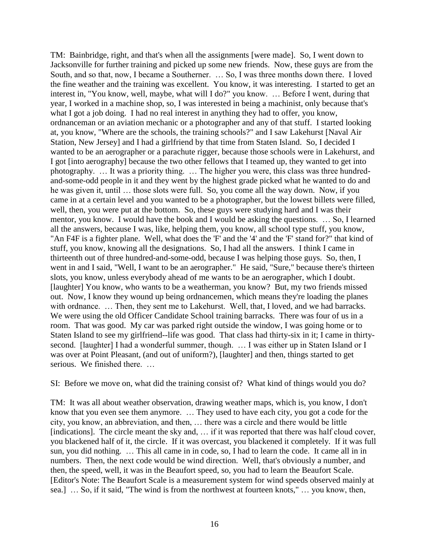TM: Bainbridge, right, and that's when all the assignments [were made]. So, I went down to Jacksonville for further training and picked up some new friends. Now, these guys are from the South, and so that, now, I became a Southerner. … So, I was three months down there. I loved the fine weather and the training was excellent. You know, it was interesting. I started to get an interest in, "You know, well, maybe, what will I do?" you know. … Before I went, during that year, I worked in a machine shop, so, I was interested in being a machinist, only because that's what I got a job doing. I had no real interest in anything they had to offer, you know, ordnanceman or an aviation mechanic or a photographer and any of that stuff. I started looking at, you know, "Where are the schools, the training schools?" and I saw Lakehurst [Naval Air Station, New Jersey] and I had a girlfriend by that time from Staten Island. So, I decided I wanted to be an aerographer or a parachute rigger, because those schools were in Lakehurst, and I got [into aerography] because the two other fellows that I teamed up, they wanted to get into photography. … It was a priority thing. … The higher you were, this class was three hundredand-some-odd people in it and they went by the highest grade picked what he wanted to do and he was given it, until … those slots were full. So, you come all the way down. Now, if you came in at a certain level and you wanted to be a photographer, but the lowest billets were filled, well, then, you were put at the bottom. So, these guys were studying hard and I was their mentor, you know. I would have the book and I would be asking the questions. … So, I learned all the answers, because I was, like, helping them, you know, all school type stuff, you know, "An F4F is a fighter plane. Well, what does the 'F' and the '4' and the 'F' stand for?" that kind of stuff, you know, knowing all the designations. So, I had all the answers. I think I came in thirteenth out of three hundred-and-some-odd, because I was helping those guys. So, then, I went in and I said, "Well, I want to be an aerographer." He said, "Sure," because there's thirteen slots, you know, unless everybody ahead of me wants to be an aerographer, which I doubt. [laughter] You know, who wants to be a weatherman, you know? But, my two friends missed out. Now, I know they wound up being ordnancemen, which means they're loading the planes with ordnance. ... Then, they sent me to Lakehurst. Well, that, I loved, and we had barracks. We were using the old Officer Candidate School training barracks. There was four of us in a room. That was good. My car was parked right outside the window, I was going home or to Staten Island to see my girlfriend--life was good. That class had thirty-six in it; I came in thirtysecond. [laughter] I had a wonderful summer, though. ... I was either up in Staten Island or I was over at Point Pleasant, (and out of uniform?), [laughter] and then, things started to get serious. We finished there. …

SI: Before we move on, what did the training consist of? What kind of things would you do?

TM: It was all about weather observation, drawing weather maps, which is, you know, I don't know that you even see them anymore. … They used to have each city, you got a code for the city, you know, an abbreviation, and then, … there was a circle and there would be little [indications]. The circle meant the sky and, ... if it was reported that there was half cloud cover, you blackened half of it, the circle. If it was overcast, you blackened it completely. If it was full sun, you did nothing. … This all came in in code, so, I had to learn the code. It came all in in numbers. Then, the next code would be wind direction. Well, that's obviously a number, and then, the speed, well, it was in the Beaufort speed, so, you had to learn the Beaufort Scale. [Editor's Note: The Beaufort Scale is a measurement system for wind speeds observed mainly at sea.] … So, if it said, "The wind is from the northwest at fourteen knots," … you know, then,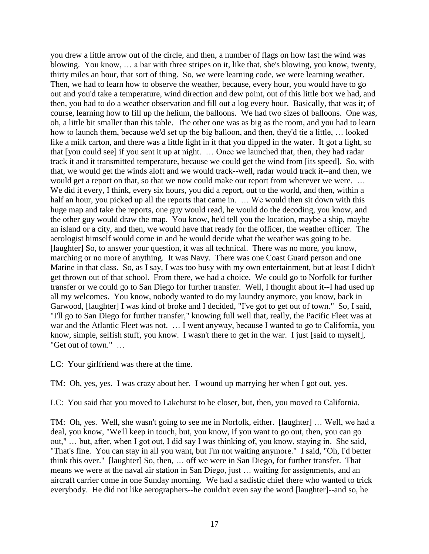you drew a little arrow out of the circle, and then, a number of flags on how fast the wind was blowing. You know, … a bar with three stripes on it, like that, she's blowing, you know, twenty, thirty miles an hour, that sort of thing. So, we were learning code, we were learning weather. Then, we had to learn how to observe the weather, because, every hour, you would have to go out and you'd take a temperature, wind direction and dew point, out of this little box we had, and then, you had to do a weather observation and fill out a log every hour. Basically, that was it; of course, learning how to fill up the helium, the balloons. We had two sizes of balloons. One was, oh, a little bit smaller than this table. The other one was as big as the room, and you had to learn how to launch them, because we'd set up the big balloon, and then, they'd tie a little, … looked like a milk carton, and there was a little light in it that you dipped in the water. It got a light, so that [you could see] if you sent it up at night. … Once we launched that, then, they had radar track it and it transmitted temperature, because we could get the wind from [its speed]. So, with that, we would get the winds aloft and we would track--well, radar would track it--and then, we would get a report on that, so that we now could make our report from wherever we were. … We did it every, I think, every six hours, you did a report, out to the world, and then, within a half an hour, you picked up all the reports that came in. ... We would then sit down with this huge map and take the reports, one guy would read, he would do the decoding, you know, and the other guy would draw the map. You know, he'd tell you the location, maybe a ship, maybe an island or a city, and then, we would have that ready for the officer, the weather officer. The aerologist himself would come in and he would decide what the weather was going to be. [laughter] So, to answer your question, it was all technical. There was no more, you know, marching or no more of anything. It was Navy. There was one Coast Guard person and one Marine in that class. So, as I say, I was too busy with my own entertainment, but at least I didn't get thrown out of that school. From there, we had a choice. We could go to Norfolk for further transfer or we could go to San Diego for further transfer. Well, I thought about it--I had used up all my welcomes. You know, nobody wanted to do my laundry anymore, you know, back in Garwood, [laughter] I was kind of broke and I decided, "I've got to get out of town." So, I said, "I'll go to San Diego for further transfer," knowing full well that, really, the Pacific Fleet was at war and the Atlantic Fleet was not. … I went anyway, because I wanted to go to California, you know, simple, selfish stuff, you know. I wasn't there to get in the war. I just [said to myself], "Get out of town." …

LC: Your girlfriend was there at the time.

TM: Oh, yes, yes. I was crazy about her. I wound up marrying her when I got out, yes.

LC: You said that you moved to Lakehurst to be closer, but, then, you moved to California.

TM: Oh, yes. Well, she wasn't going to see me in Norfolk, either. [laughter] … Well, we had a deal, you know, "We'll keep in touch, but, you know, if you want to go out, then, you can go out," … but, after, when I got out, I did say I was thinking of, you know, staying in. She said, "That's fine. You can stay in all you want, but I'm not waiting anymore." I said, "Oh, I'd better think this over." [laughter] So, then, … off we were in San Diego, for further transfer. That means we were at the naval air station in San Diego, just … waiting for assignments, and an aircraft carrier come in one Sunday morning. We had a sadistic chief there who wanted to trick everybody. He did not like aerographers--he couldn't even say the word [laughter]--and so, he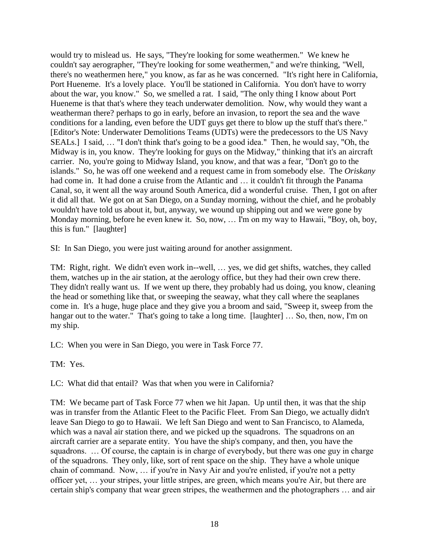would try to mislead us. He says, "They're looking for some weathermen." We knew he couldn't say aerographer, "They're looking for some weathermen," and we're thinking, "Well, there's no weathermen here," you know, as far as he was concerned. "It's right here in California, Port Hueneme. It's a lovely place. You'll be stationed in California. You don't have to worry about the war, you know." So, we smelled a rat. I said, "The only thing I know about Port Hueneme is that that's where they teach underwater demolition. Now, why would they want a weatherman there? perhaps to go in early, before an invasion, to report the sea and the wave conditions for a landing, even before the UDT guys get there to blow up the stuff that's there." [Editor's Note: Underwater Demolitions Teams (UDTs) were the predecessors to the US Navy SEALs.] I said, … "I don't think that's going to be a good idea." Then, he would say, "Oh, the Midway is in, you know. They're looking for guys on the Midway," thinking that it's an aircraft carrier. No, you're going to Midway Island, you know, and that was a fear, "Don't go to the islands." So, he was off one weekend and a request came in from somebody else. The *Oriskany* had come in. It had done a cruise from the Atlantic and ... it couldn't fit through the Panama Canal, so, it went all the way around South America, did a wonderful cruise. Then, I got on after it did all that. We got on at San Diego, on a Sunday morning, without the chief, and he probably wouldn't have told us about it, but, anyway, we wound up shipping out and we were gone by Monday morning, before he even knew it. So, now, … I'm on my way to Hawaii, "Boy, oh, boy, this is fun." [laughter]

SI: In San Diego, you were just waiting around for another assignment.

TM: Right, right. We didn't even work in--well, … yes, we did get shifts, watches, they called them, watches up in the air station, at the aerology office, but they had their own crew there. They didn't really want us. If we went up there, they probably had us doing, you know, cleaning the head or something like that, or sweeping the seaway, what they call where the seaplanes come in. It's a huge, huge place and they give you a broom and said, "Sweep it, sweep from the hangar out to the water." That's going to take a long time. [laughter] ... So, then, now, I'm on my ship.

LC: When you were in San Diego, you were in Task Force 77.

TM: Yes.

LC: What did that entail? Was that when you were in California?

TM: We became part of Task Force 77 when we hit Japan. Up until then, it was that the ship was in transfer from the Atlantic Fleet to the Pacific Fleet. From San Diego, we actually didn't leave San Diego to go to Hawaii. We left San Diego and went to San Francisco, to Alameda, which was a naval air station there, and we picked up the squadrons. The squadrons on an aircraft carrier are a separate entity. You have the ship's company, and then, you have the squadrons. … Of course, the captain is in charge of everybody, but there was one guy in charge of the squadrons. They only, like, sort of rent space on the ship. They have a whole unique chain of command. Now, … if you're in Navy Air and you're enlisted, if you're not a petty officer yet, … your stripes, your little stripes, are green, which means you're Air, but there are certain ship's company that wear green stripes, the weathermen and the photographers … and air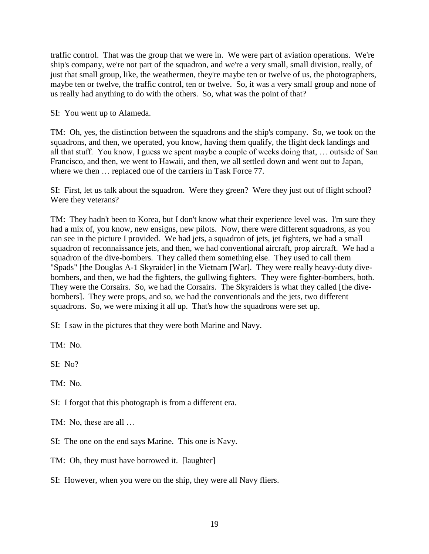traffic control. That was the group that we were in. We were part of aviation operations. We're ship's company, we're not part of the squadron, and we're a very small, small division, really, of just that small group, like, the weathermen, they're maybe ten or twelve of us, the photographers, maybe ten or twelve, the traffic control, ten or twelve. So, it was a very small group and none of us really had anything to do with the others. So, what was the point of that?

SI: You went up to Alameda.

TM: Oh, yes, the distinction between the squadrons and the ship's company. So, we took on the squadrons, and then, we operated, you know, having them qualify, the flight deck landings and all that stuff. You know, I guess we spent maybe a couple of weeks doing that, … outside of San Francisco, and then, we went to Hawaii, and then, we all settled down and went out to Japan, where we then  $\ldots$  replaced one of the carriers in Task Force 77.

SI: First, let us talk about the squadron. Were they green? Were they just out of flight school? Were they veterans?

TM: They hadn't been to Korea, but I don't know what their experience level was. I'm sure they had a mix of, you know, new ensigns, new pilots. Now, there were different squadrons, as you can see in the picture I provided. We had jets, a squadron of jets, jet fighters, we had a small squadron of reconnaissance jets, and then, we had conventional aircraft, prop aircraft. We had a squadron of the dive-bombers. They called them something else. They used to call them "Spads" [the Douglas A-1 Skyraider] in the Vietnam [War]. They were really heavy-duty divebombers, and then, we had the fighters, the gullwing fighters. They were fighter-bombers, both. They were the Corsairs. So, we had the Corsairs. The Skyraiders is what they called [the divebombers]. They were props, and so, we had the conventionals and the jets, two different squadrons. So, we were mixing it all up. That's how the squadrons were set up.

SI: I saw in the pictures that they were both Marine and Navy.

TM: No.

 $SI: No?$ 

TM: No.

SI: I forgot that this photograph is from a different era.

TM: No, these are all …

SI: The one on the end says Marine. This one is Navy.

TM: Oh, they must have borrowed it. [laughter]

SI: However, when you were on the ship, they were all Navy fliers.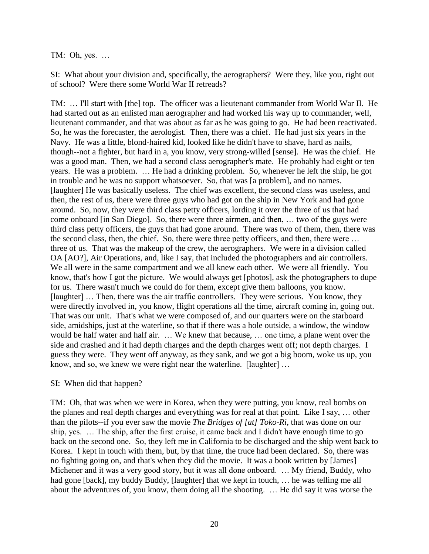TM: Oh, yes. …

SI: What about your division and, specifically, the aerographers? Were they, like you, right out of school? Were there some World War II retreads?

TM: … I'll start with [the] top. The officer was a lieutenant commander from World War II. He had started out as an enlisted man aerographer and had worked his way up to commander, well, lieutenant commander, and that was about as far as he was going to go. He had been reactivated. So, he was the forecaster, the aerologist. Then, there was a chief. He had just six years in the Navy. He was a little, blond-haired kid, looked like he didn't have to shave, hard as nails, though--not a fighter, but hard in a, you know, very strong-willed [sense]. He was the chief. He was a good man. Then, we had a second class aerographer's mate. He probably had eight or ten years. He was a problem. … He had a drinking problem. So, whenever he left the ship, he got in trouble and he was no support whatsoever. So, that was [a problem], and no names. [laughter] He was basically useless. The chief was excellent, the second class was useless, and then, the rest of us, there were three guys who had got on the ship in New York and had gone around. So, now, they were third class petty officers, lording it over the three of us that had come onboard [in San Diego]. So, there were three airmen, and then, … two of the guys were third class petty officers, the guys that had gone around. There was two of them, then, there was the second class, then, the chief. So, there were three petty officers, and then, there were … three of us. That was the makeup of the crew, the aerographers. We were in a division called OA [AO?], Air Operations, and, like I say, that included the photographers and air controllers. We all were in the same compartment and we all knew each other. We were all friendly. You know, that's how I got the picture. We would always get [photos], ask the photographers to dupe for us. There wasn't much we could do for them, except give them balloons, you know. [laughter] ... Then, there was the air traffic controllers. They were serious. You know, they were directly involved in, you know, flight operations all the time, aircraft coming in, going out. That was our unit. That's what we were composed of, and our quarters were on the starboard side, amidships, just at the waterline, so that if there was a hole outside, a window, the window would be half water and half air. … We knew that because, … one time, a plane went over the side and crashed and it had depth charges and the depth charges went off; not depth charges. I guess they were. They went off anyway, as they sank, and we got a big boom, woke us up, you know, and so, we knew we were right near the waterline. [laughter] ...

### SI: When did that happen?

TM: Oh, that was when we were in Korea, when they were putting, you know, real bombs on the planes and real depth charges and everything was for real at that point. Like I say, … other than the pilots--if you ever saw the movie *The Bridges of [at] Toko-Ri*, that was done on our ship, yes. … The ship, after the first cruise, it came back and I didn't have enough time to go back on the second one. So, they left me in California to be discharged and the ship went back to Korea. I kept in touch with them, but, by that time, the truce had been declared. So, there was no fighting going on, and that's when they did the movie. It was a book written by [James] Michener and it was a very good story, but it was all done onboard. … My friend, Buddy, who had gone [back], my buddy Buddy, [laughter] that we kept in touch, ... he was telling me all about the adventures of, you know, them doing all the shooting. … He did say it was worse the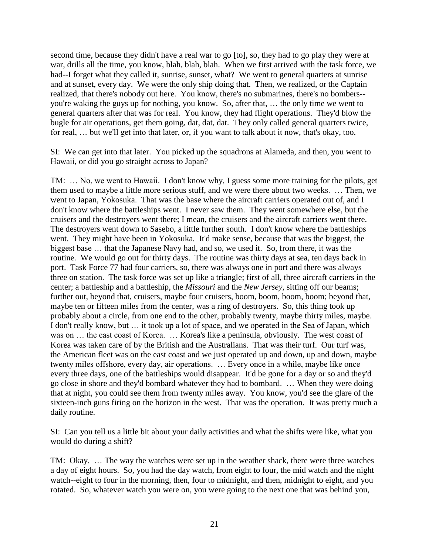second time, because they didn't have a real war to go [to], so, they had to go play they were at war, drills all the time, you know, blah, blah, blah. When we first arrived with the task force, we had--I forget what they called it, sunrise, sunset, what? We went to general quarters at sunrise and at sunset, every day. We were the only ship doing that. Then, we realized, or the Captain realized, that there's nobody out here. You know, there's no submarines, there's no bombers- you're waking the guys up for nothing, you know. So, after that, … the only time we went to general quarters after that was for real. You know, they had flight operations. They'd blow the bugle for air operations, get them going, dat, dat, dat. They only called general quarters twice, for real, … but we'll get into that later, or, if you want to talk about it now, that's okay, too.

SI: We can get into that later. You picked up the squadrons at Alameda, and then, you went to Hawaii, or did you go straight across to Japan?

TM: … No, we went to Hawaii. I don't know why, I guess some more training for the pilots, get them used to maybe a little more serious stuff, and we were there about two weeks. … Then, we went to Japan, Yokosuka. That was the base where the aircraft carriers operated out of, and I don't know where the battleships went. I never saw them. They went somewhere else, but the cruisers and the destroyers went there; I mean, the cruisers and the aircraft carriers went there. The destroyers went down to Sasebo, a little further south. I don't know where the battleships went. They might have been in Yokosuka. It'd make sense, because that was the biggest, the biggest base … that the Japanese Navy had, and so, we used it. So, from there, it was the routine. We would go out for thirty days. The routine was thirty days at sea, ten days back in port. Task Force 77 had four carriers, so, there was always one in port and there was always three on station. The task force was set up like a triangle; first of all, three aircraft carriers in the center; a battleship and a battleship, the *Missouri* and the *New Jersey*, sitting off our beams; further out, beyond that, cruisers, maybe four cruisers, boom, boom, boom, boom; beyond that, maybe ten or fifteen miles from the center, was a ring of destroyers. So, this thing took up probably about a circle, from one end to the other, probably twenty, maybe thirty miles, maybe. I don't really know, but … it took up a lot of space, and we operated in the Sea of Japan, which was on ... the east coast of Korea. ... Korea's like a peninsula, obviously. The west coast of Korea was taken care of by the British and the Australians. That was their turf. Our turf was, the American fleet was on the east coast and we just operated up and down, up and down, maybe twenty miles offshore, every day, air operations. … Every once in a while, maybe like once every three days, one of the battleships would disappear. It'd be gone for a day or so and they'd go close in shore and they'd bombard whatever they had to bombard. … When they were doing that at night, you could see them from twenty miles away. You know, you'd see the glare of the sixteen-inch guns firing on the horizon in the west. That was the operation. It was pretty much a daily routine.

SI: Can you tell us a little bit about your daily activities and what the shifts were like, what you would do during a shift?

TM: Okay. … The way the watches were set up in the weather shack, there were three watches a day of eight hours. So, you had the day watch, from eight to four, the mid watch and the night watch--eight to four in the morning, then, four to midnight, and then, midnight to eight, and you rotated. So, whatever watch you were on, you were going to the next one that was behind you,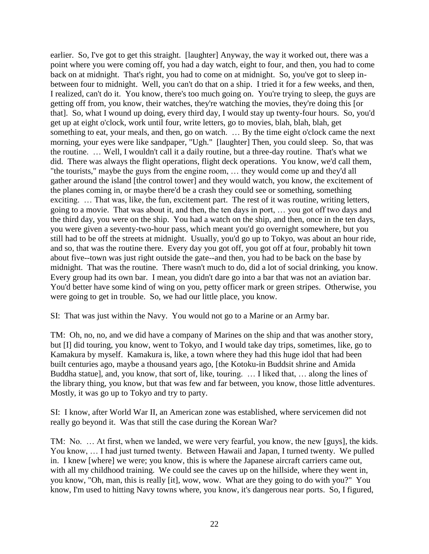earlier. So, I've got to get this straight. [laughter] Anyway, the way it worked out, there was a point where you were coming off, you had a day watch, eight to four, and then, you had to come back on at midnight. That's right, you had to come on at midnight. So, you've got to sleep inbetween four to midnight. Well, you can't do that on a ship. I tried it for a few weeks, and then, I realized, can't do it. You know, there's too much going on. You're trying to sleep, the guys are getting off from, you know, their watches, they're watching the movies, they're doing this [or that]. So, what I wound up doing, every third day, I would stay up twenty-four hours. So, you'd get up at eight o'clock, work until four, write letters, go to movies, blah, blah, blah, get something to eat, your meals, and then, go on watch. … By the time eight o'clock came the next morning, your eyes were like sandpaper, "Ugh." [laughter] Then, you could sleep. So, that was the routine. … Well, I wouldn't call it a daily routine, but a three-day routine. That's what we did. There was always the flight operations, flight deck operations. You know, we'd call them, "the tourists," maybe the guys from the engine room, … they would come up and they'd all gather around the island [the control tower] and they would watch, you know, the excitement of the planes coming in, or maybe there'd be a crash they could see or something, something exciting. … That was, like, the fun, excitement part. The rest of it was routine, writing letters, going to a movie. That was about it, and then, the ten days in port, … you got off two days and the third day, you were on the ship. You had a watch on the ship, and then, once in the ten days, you were given a seventy-two-hour pass, which meant you'd go overnight somewhere, but you still had to be off the streets at midnight. Usually, you'd go up to Tokyo, was about an hour ride, and so, that was the routine there. Every day you got off, you got off at four, probably hit town about five--town was just right outside the gate--and then, you had to be back on the base by midnight. That was the routine. There wasn't much to do, did a lot of social drinking, you know. Every group had its own bar. I mean, you didn't dare go into a bar that was not an aviation bar. You'd better have some kind of wing on you, petty officer mark or green stripes. Otherwise, you were going to get in trouble. So, we had our little place, you know.

SI: That was just within the Navy. You would not go to a Marine or an Army bar.

TM: Oh, no, no, and we did have a company of Marines on the ship and that was another story, but [I] did touring, you know, went to Tokyo, and I would take day trips, sometimes, like, go to Kamakura by myself. Kamakura is, like, a town where they had this huge idol that had been built centuries ago, maybe a thousand years ago, [the Kotoku-in Buddsit shrine and Amida Buddha statue], and, you know, that sort of, like, touring. … I liked that, … along the lines of the library thing, you know, but that was few and far between, you know, those little adventures. Mostly, it was go up to Tokyo and try to party.

SI: I know, after World War II, an American zone was established, where servicemen did not really go beyond it. Was that still the case during the Korean War?

TM: No. … At first, when we landed, we were very fearful, you know, the new [guys], the kids. You know, … I had just turned twenty. Between Hawaii and Japan, I turned twenty. We pulled in. I knew [where] we were; you know, this is where the Japanese aircraft carriers came out, with all my childhood training. We could see the caves up on the hillside, where they went in, you know, "Oh, man, this is really [it], wow, wow. What are they going to do with you?" You know, I'm used to hitting Navy towns where, you know, it's dangerous near ports. So, I figured,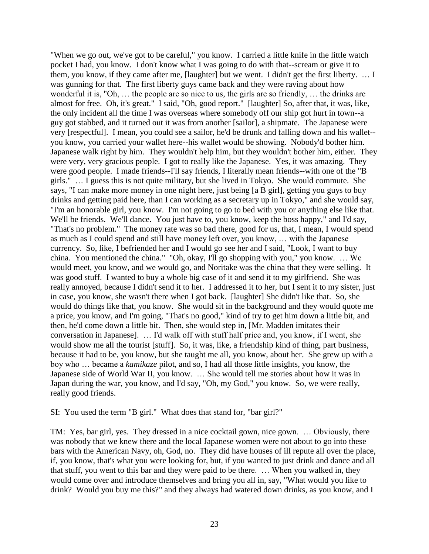"When we go out, we've got to be careful," you know. I carried a little knife in the little watch pocket I had, you know. I don't know what I was going to do with that--scream or give it to them, you know, if they came after me, [laughter] but we went. I didn't get the first liberty. … I was gunning for that. The first liberty guys came back and they were raving about how wonderful it is, "Oh, … the people are so nice to us, the girls are so friendly, … the drinks are almost for free. Oh, it's great." I said, "Oh, good report." [laughter] So, after that, it was, like, the only incident all the time I was overseas where somebody off our ship got hurt in town--a guy got stabbed, and it turned out it was from another [sailor], a shipmate. The Japanese were very [respectful]. I mean, you could see a sailor, he'd be drunk and falling down and his wallet- you know, you carried your wallet here--his wallet would be showing. Nobody'd bother him. Japanese walk right by him. They wouldn't help him, but they wouldn't bother him, either. They were very, very gracious people. I got to really like the Japanese. Yes, it was amazing. They were good people. I made friends--I'll say friends, I literally mean friends--with one of the "B girls." … I guess this is not quite military, but she lived in Tokyo. She would commute. She says, "I can make more money in one night here, just being [a B girl], getting you guys to buy drinks and getting paid here, than I can working as a secretary up in Tokyo," and she would say, "I'm an honorable girl, you know. I'm not going to go to bed with you or anything else like that. We'll be friends. We'll dance. You just have to, you know, keep the boss happy," and I'd say, "That's no problem." The money rate was so bad there, good for us, that, I mean, I would spend as much as I could spend and still have money left over, you know, … with the Japanese currency. So, like, I befriended her and I would go see her and I said, "Look, I want to buy china. You mentioned the china." "Oh, okay, I'll go shopping with you," you know. … We would meet, you know, and we would go, and Noritake was the china that they were selling. It was good stuff. I wanted to buy a whole big case of it and send it to my girlfriend. She was really annoyed, because I didn't send it to her. I addressed it to her, but I sent it to my sister, just in case, you know, she wasn't there when I got back. [laughter] She didn't like that. So, she would do things like that, you know. She would sit in the background and they would quote me a price, you know, and I'm going, "That's no good," kind of try to get him down a little bit, and then, he'd come down a little bit. Then, she would step in, [Mr. Madden imitates their conversation in Japanese]. … I'd walk off with stuff half price and, you know, if I went, she would show me all the tourist [stuff]. So, it was, like, a friendship kind of thing, part business, because it had to be, you know, but she taught me all, you know, about her. She grew up with a boy who … became a *kamikaze* pilot, and so, I had all those little insights, you know, the Japanese side of World War II, you know. … She would tell me stories about how it was in Japan during the war, you know, and I'd say, "Oh, my God," you know. So, we were really, really good friends.

SI: You used the term "B girl." What does that stand for, "bar girl?"

TM: Yes, bar girl, yes. They dressed in a nice cocktail gown, nice gown. … Obviously, there was nobody that we knew there and the local Japanese women were not about to go into these bars with the American Navy, oh, God, no. They did have houses of ill repute all over the place, if, you know, that's what you were looking for, but, if you wanted to just drink and dance and all that stuff, you went to this bar and they were paid to be there. … When you walked in, they would come over and introduce themselves and bring you all in, say, "What would you like to drink? Would you buy me this?" and they always had watered down drinks, as you know, and I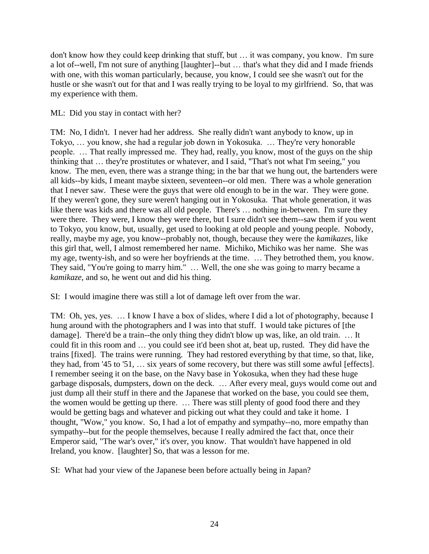don't know how they could keep drinking that stuff, but … it was company, you know. I'm sure a lot of--well, I'm not sure of anything [laughter]--but … that's what they did and I made friends with one, with this woman particularly, because, you know, I could see she wasn't out for the hustle or she wasn't out for that and I was really trying to be loyal to my girlfriend. So, that was my experience with them.

### ML: Did you stay in contact with her?

TM: No, I didn't. I never had her address. She really didn't want anybody to know, up in Tokyo, … you know, she had a regular job down in Yokosuka. … They're very honorable people. … That really impressed me. They had, really, you know, most of the guys on the ship thinking that … they're prostitutes or whatever, and I said, "That's not what I'm seeing," you know. The men, even, there was a strange thing; in the bar that we hung out, the bartenders were all kids--by kids, I meant maybe sixteen, seventeen--or old men. There was a whole generation that I never saw. These were the guys that were old enough to be in the war. They were gone. If they weren't gone, they sure weren't hanging out in Yokosuka. That whole generation, it was like there was kids and there was all old people. There's ... nothing in-between. I'm sure they were there. They were, I know they were there, but I sure didn't see them--saw them if you went to Tokyo, you know, but, usually, get used to looking at old people and young people. Nobody, really, maybe my age, you know--probably not, though, because they were the *kamikazes,* like this girl that, well, I almost remembered her name. Michiko, Michiko was her name. She was my age, twenty-ish, and so were her boyfriends at the time. … They betrothed them, you know. They said, "You're going to marry him." … Well, the one she was going to marry became a *kamikaze*, and so, he went out and did his thing.

SI: I would imagine there was still a lot of damage left over from the war.

TM: Oh, yes, yes. … I know I have a box of slides, where I did a lot of photography, because I hung around with the photographers and I was into that stuff. I would take pictures of [the damage]. There'd be a train--the only thing they didn't blow up was, like, an old train. … It could fit in this room and … you could see it'd been shot at, beat up, rusted. They did have the trains [fixed]. The trains were running. They had restored everything by that time, so that, like, they had, from '45 to '51, … six years of some recovery, but there was still some awful [effects]. I remember seeing it on the base, on the Navy base in Yokosuka, when they had these huge garbage disposals, dumpsters, down on the deck. … After every meal, guys would come out and just dump all their stuff in there and the Japanese that worked on the base, you could see them, the women would be getting up there. … There was still plenty of good food there and they would be getting bags and whatever and picking out what they could and take it home. I thought, "Wow," you know. So, I had a lot of empathy and sympathy--no, more empathy than sympathy--but for the people themselves, because I really admired the fact that, once their Emperor said, "The war's over," it's over, you know. That wouldn't have happened in old Ireland, you know. [laughter] So, that was a lesson for me.

SI: What had your view of the Japanese been before actually being in Japan?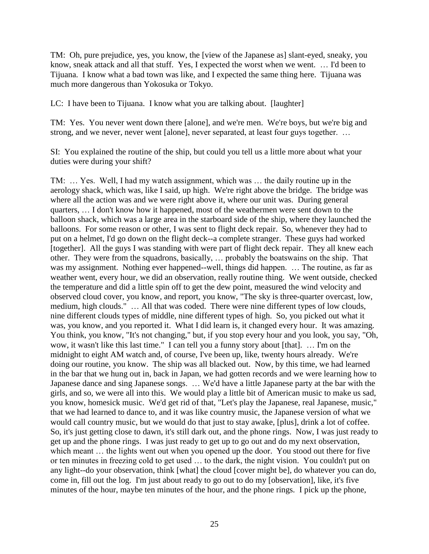TM: Oh, pure prejudice, yes, you know, the [view of the Japanese as] slant-eyed, sneaky, you know, sneak attack and all that stuff. Yes, I expected the worst when we went. … I'd been to Tijuana. I know what a bad town was like, and I expected the same thing here. Tijuana was much more dangerous than Yokosuka or Tokyo.

LC: I have been to Tijuana. I know what you are talking about. [laughter]

TM: Yes. You never went down there [alone], and we're men. We're boys, but we're big and strong, and we never, never went [alone], never separated, at least four guys together. …

SI: You explained the routine of the ship, but could you tell us a little more about what your duties were during your shift?

TM: … Yes. Well, I had my watch assignment, which was … the daily routine up in the aerology shack, which was, like I said, up high. We're right above the bridge. The bridge was where all the action was and we were right above it, where our unit was. During general quarters, … I don't know how it happened, most of the weathermen were sent down to the balloon shack, which was a large area in the starboard side of the ship, where they launched the balloons. For some reason or other, I was sent to flight deck repair. So, whenever they had to put on a helmet, I'd go down on the flight deck--a complete stranger. These guys had worked [together]. All the guys I was standing with were part of flight deck repair. They all knew each other. They were from the squadrons, basically, … probably the boatswains on the ship. That was my assignment. Nothing ever happened--well, things did happen. … The routine, as far as weather went, every hour, we did an observation, really routine thing. We went outside, checked the temperature and did a little spin off to get the dew point, measured the wind velocity and observed cloud cover, you know, and report, you know, "The sky is three-quarter overcast, low, medium, high clouds." … All that was coded. There were nine different types of low clouds, nine different clouds types of middle, nine different types of high. So, you picked out what it was, you know, and you reported it. What I did learn is, it changed every hour. It was amazing. You think, you know, "It's not changing," but, if you stop every hour and you look, you say, "Oh, wow, it wasn't like this last time." I can tell you a funny story about [that]. … I'm on the midnight to eight AM watch and, of course, I've been up, like, twenty hours already. We're doing our routine, you know. The ship was all blacked out. Now, by this time, we had learned in the bar that we hung out in, back in Japan, we had gotten records and we were learning how to Japanese dance and sing Japanese songs. … We'd have a little Japanese party at the bar with the girls, and so, we were all into this. We would play a little bit of American music to make us sad, you know, homesick music. We'd get rid of that, "Let's play the Japanese, real Japanese, music," that we had learned to dance to, and it was like country music, the Japanese version of what we would call country music, but we would do that just to stay awake, [plus], drink a lot of coffee. So, it's just getting close to dawn, it's still dark out, and the phone rings. Now, I was just ready to get up and the phone rings. I was just ready to get up to go out and do my next observation, which meant ... the lights went out when you opened up the door. You stood out there for five or ten minutes in freezing cold to get used … to the dark, the night vision. You couldn't put on any light--do your observation, think [what] the cloud [cover might be], do whatever you can do, come in, fill out the log. I'm just about ready to go out to do my [observation], like, it's five minutes of the hour, maybe ten minutes of the hour, and the phone rings. I pick up the phone,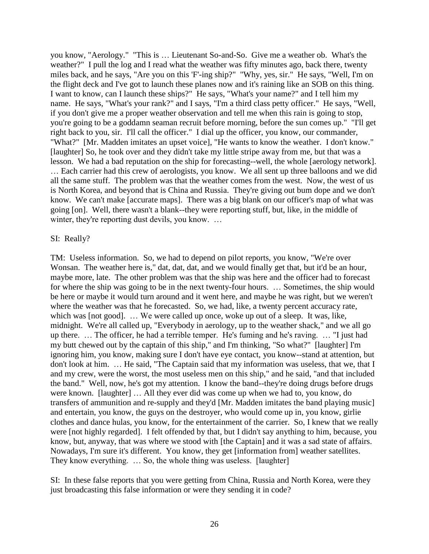you know, "Aerology." "This is … Lieutenant So-and-So. Give me a weather ob. What's the weather?" I pull the log and I read what the weather was fifty minutes ago, back there, twenty miles back, and he says, "Are you on this 'F'-ing ship?" "Why, yes, sir." He says, "Well, I'm on the flight deck and I've got to launch these planes now and it's raining like an SOB on this thing. I want to know, can I launch these ships?" He says, "What's your name?" and I tell him my name. He says, "What's your rank?" and I says, "I'm a third class petty officer." He says, "Well, if you don't give me a proper weather observation and tell me when this rain is going to stop, you're going to be a goddamn seaman recruit before morning, before the sun comes up." "I'll get right back to you, sir. I'll call the officer." I dial up the officer, you know, our commander, "What?" [Mr. Madden imitates an upset voice], "He wants to know the weather. I don't know." [laughter] So, he took over and they didn't take my little stripe away from me, but that was a lesson. We had a bad reputation on the ship for forecasting--well, the whole [aerology network].

… Each carrier had this crew of aerologists, you know. We all sent up three balloons and we did all the same stuff. The problem was that the weather comes from the west. Now, the west of us is North Korea, and beyond that is China and Russia. They're giving out bum dope and we don't know. We can't make [accurate maps]. There was a big blank on our officer's map of what was going [on]. Well, there wasn't a blank--they were reporting stuff, but, like, in the middle of winter, they're reporting dust devils, you know. ...

#### SI: Really?

TM: Useless information. So, we had to depend on pilot reports, you know, "We're over Wonsan. The weather here is," dat, dat, dat, and we would finally get that, but it'd be an hour, maybe more, late. The other problem was that the ship was here and the officer had to forecast for where the ship was going to be in the next twenty-four hours. … Sometimes, the ship would be here or maybe it would turn around and it went here, and maybe he was right, but we weren't where the weather was that he forecasted. So, we had, like, a twenty percent accuracy rate, which was [not good]. ... We were called up once, woke up out of a sleep. It was, like, midnight. We're all called up, "Everybody in aerology, up to the weather shack," and we all go up there. … The officer, he had a terrible temper. He's fuming and he's raving. … "I just had my butt chewed out by the captain of this ship," and I'm thinking, "So what?" [laughter] I'm ignoring him, you know, making sure I don't have eye contact, you know--stand at attention, but don't look at him. … He said, "The Captain said that my information was useless, that we, that I and my crew, were the worst, the most useless men on this ship," and he said, "and that included the band." Well, now, he's got my attention. I know the band--they're doing drugs before drugs were known. [laughter] … All they ever did was come up when we had to, you know, do transfers of ammunition and re-supply and they'd [Mr. Madden imitates the band playing music] and entertain, you know, the guys on the destroyer, who would come up in, you know, girlie clothes and dance hulas, you know, for the entertainment of the carrier. So, I knew that we really were [not highly regarded]. I felt offended by that, but I didn't say anything to him, because, you know, but, anyway, that was where we stood with [the Captain] and it was a sad state of affairs. Nowadays, I'm sure it's different. You know, they get [information from] weather satellites. They know everything. ... So, the whole thing was useless. [laughter]

SI: In these false reports that you were getting from China, Russia and North Korea, were they just broadcasting this false information or were they sending it in code?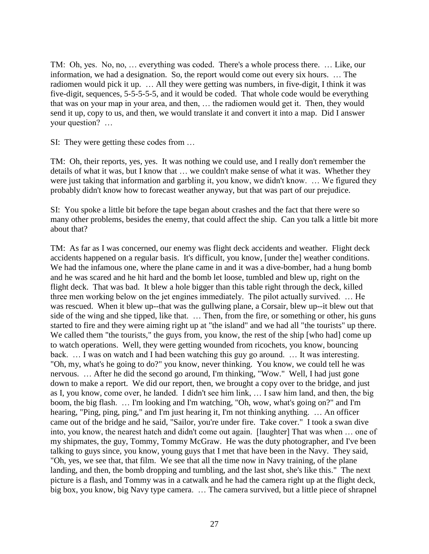TM: Oh, yes. No, no, … everything was coded. There's a whole process there. … Like, our information, we had a designation. So, the report would come out every six hours. … The radiomen would pick it up. … All they were getting was numbers, in five-digit, I think it was five-digit, sequences, 5-5-5-5-5, and it would be coded. That whole code would be everything that was on your map in your area, and then, … the radiomen would get it. Then, they would send it up, copy to us, and then, we would translate it and convert it into a map. Did I answer your question? …

SI: They were getting these codes from …

TM: Oh, their reports, yes, yes. It was nothing we could use, and I really don't remember the details of what it was, but I know that … we couldn't make sense of what it was. Whether they were just taking that information and garbling it, you know, we didn't know. … We figured they probably didn't know how to forecast weather anyway, but that was part of our prejudice.

SI: You spoke a little bit before the tape began about crashes and the fact that there were so many other problems, besides the enemy, that could affect the ship. Can you talk a little bit more about that?

TM: As far as I was concerned, our enemy was flight deck accidents and weather. Flight deck accidents happened on a regular basis. It's difficult, you know, [under the] weather conditions. We had the infamous one, where the plane came in and it was a dive-bomber, had a hung bomb and he was scared and he hit hard and the bomb let loose, tumbled and blew up, right on the flight deck. That was bad. It blew a hole bigger than this table right through the deck, killed three men working below on the jet engines immediately. The pilot actually survived. … He was rescued. When it blew up--that was the gullwing plane, a Corsair, blew up--it blew out that side of the wing and she tipped, like that. … Then, from the fire, or something or other, his guns started to fire and they were aiming right up at "the island" and we had all "the tourists" up there. We called them "the tourists," the guys from, you know, the rest of the ship [who had] come up to watch operations. Well, they were getting wounded from ricochets, you know, bouncing back. … I was on watch and I had been watching this guy go around. … It was interesting. "Oh, my, what's he going to do?" you know, never thinking. You know, we could tell he was nervous. … After he did the second go around, I'm thinking, "Wow." Well, I had just gone down to make a report. We did our report, then, we brought a copy over to the bridge, and just as I, you know, come over, he landed. I didn't see him link, … I saw him land, and then, the big boom, the big flash. … I'm looking and I'm watching, "Oh, wow, what's going on?" and I'm hearing, "Ping, ping, ping," and I'm just hearing it, I'm not thinking anything. ... An officer came out of the bridge and he said, "Sailor, you're under fire. Take cover." I took a swan dive into, you know, the nearest hatch and didn't come out again. [laughter] That was when … one of my shipmates, the guy, Tommy, Tommy McGraw. He was the duty photographer, and I've been talking to guys since, you know, young guys that I met that have been in the Navy. They said, "Oh, yes, we see that, that film. We see that all the time now in Navy training, of the plane landing, and then, the bomb dropping and tumbling, and the last shot, she's like this." The next picture is a flash, and Tommy was in a catwalk and he had the camera right up at the flight deck, big box, you know, big Navy type camera. … The camera survived, but a little piece of shrapnel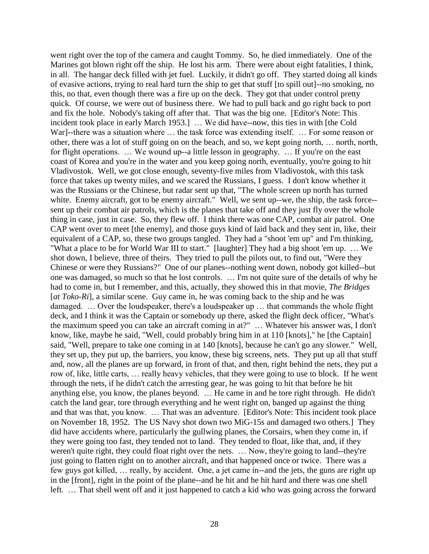went right over the top of the camera and caught Tommy. So, he died immediately. One of the Marines got blown right off the ship. He lost his arm. There were about eight fatalities, I think, in all. The hangar deck filled with jet fuel. Luckily, it didn't go off. They started doing all kinds of evasive actions, trying to real hard turn the ship to get that stuff [to spill out]--no smoking, no this, no that, even though there was a fire up on the deck. They got that under control pretty quick. Of course, we were out of business there. We had to pull back and go right back to port and fix the hole. Nobody's taking off after that. That was the big one. [Editor's Note: This incident took place in early March 1953.] … We did have--now, this ties in with [the Cold War]--there was a situation where ... the task force was extending itself. ... For some reason or other, there was a lot of stuff going on on the beach, and so, we kept going north, … north, north, for flight operations. ... We wound up--a little lesson in geography. ... If you're on the east coast of Korea and you're in the water and you keep going north, eventually, you're going to hit Vladivostok. Well, we got close enough, seventy-five miles from Vladivostok, with this task force that takes up twenty miles, and we scared the Russians, I guess. I don't know whether it was the Russians or the Chinese, but radar sent up that, "The whole screen up north has turned white. Enemy aircraft, got to be enemy aircraft." Well, we sent up--we, the ship, the task force-sent up their combat air patrols, which is the planes that take off and they just fly over the whole thing in case, just in case. So, they flew off. I think there was one CAP, combat air patrol. One CAP went over to meet [the enemy], and those guys kind of laid back and they sent in, like, their equivalent of a CAP, so, these two groups tangled. They had a "shoot 'em up" and I'm thinking, "What a place to be for World War III to start." [laughter] They had a big shoot 'em up. … We shot down, I believe, three of theirs. They tried to pull the pilots out, to find out, "Were they Chinese or were they Russians?" One of our planes--nothing went down, nobody got killed--but one was damaged, so much so that he lost controls. … I'm not quite sure of the details of why he had to come in, but I remember, and this, actually, they showed this in that movie, *The Bridges*  [*at Toko-Ri*], a similar scene. Guy came in, he was coming back to the ship and he was damaged. … Over the loudspeaker, there's a loudspeaker up … that commands the whole flight deck, and I think it was the Captain or somebody up there, asked the flight deck officer, "What's the maximum speed you can take an aircraft coming in at?" … Whatever his answer was, I don't know, like, maybe he said, "Well, could probably bring him in at 110 [knots]," he [the Captain] said, "Well, prepare to take one coming in at 140 [knots], because he can't go any slower." Well, they set up, they put up, the barriers, you know, these big screens, nets. They put up all that stuff and, now, all the planes are up forward, in front of that, and then, right behind the nets, they put a row of, like, little carts, … really heavy vehicles, that they were going to use to block. If he went through the nets, if he didn't catch the arresting gear, he was going to hit that before he hit anything else, you know, the planes beyond. … He came in and he tore right through. He didn't catch the land gear, tore through everything and he went right on, banged up against the thing and that was that, you know. … That was an adventure. [Editor's Note: This incident took place on November 18, 1952. The US Navy shot down two MiG-15s and damaged two others.] They did have accidents where, particularly the gullwing planes, the Corsairs, when they come in, if they were going too fast, they tended not to land. They tended to float, like that, and, if they weren't quite right, they could float right over the nets. … Now, they're going to land--they're just going to flatten right on to another aircraft, and that happened once or twice. There was a few guys got killed, … really, by accident. One, a jet came in--and the jets, the guns are right up in the [front], right in the point of the plane--and he hit and he hit hard and there was one shell left. … That shell went off and it just happened to catch a kid who was going across the forward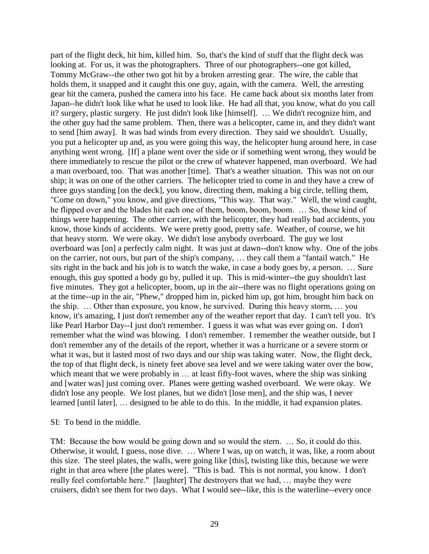part of the flight deck, hit him, killed him. So, that's the kind of stuff that the flight deck was looking at. For us, it was the photographers. Three of our photographers--one got killed, Tommy McGraw--the other two got hit by a broken arresting gear. The wire, the cable that holds them, it snapped and it caught this one guy, again, with the camera. Well, the arresting gear hit the camera, pushed the camera into his face. He came back about six months later from Japan--he didn't look like what he used to look like. He had all that, you know, what do you call it? surgery, plastic surgery. He just didn't look like [himself]. … We didn't recognize him, and the other guy had the same problem. Then, there was a helicopter, came in, and they didn't want to send [him away]. It was bad winds from every direction. They said we shouldn't. Usually, you put a helicopter up and, as you were going this way, the helicopter hung around here, in case anything went wrong. [If] a plane went over the side or if something went wrong, they would be there immediately to rescue the pilot or the crew of whatever happened, man overboard. We had a man overboard, too. That was another [time]. That's a weather situation. This was not on our ship; it was on one of the other carriers. The helicopter tried to come in and they have a crew of three guys standing [on the deck], you know, directing them, making a big circle, telling them, "Come on down," you know, and give directions, "This way. That way." Well, the wind caught, he flipped over and the blades hit each one of them, boom, boom, boom. … So, those kind of things were happening. The other carrier, with the helicopter, they had really bad accidents, you know, those kinds of accidents. We were pretty good, pretty safe. Weather, of course, we hit that heavy storm. We were okay. We didn't lose anybody overboard. The guy we lost overboard was [on] a perfectly calm night. It was just at dawn--don't know why. One of the jobs on the carrier, not ours, but part of the ship's company, … they call them a "fantail watch." He sits right in the back and his job is to watch the wake, in case a body goes by, a person. … Sure enough, this guy spotted a body go by, pulled it up. This is mid-winter--the guy shouldn't last five minutes. They got a helicopter, boom, up in the air--there was no flight operations going on at the time--up in the air, "Phew," dropped him in, picked him up, got him, brought him back on the ship. … Other than exposure, you know, he survived. During this heavy storm, … you know, it's amazing, I just don't remember any of the weather report that day. I can't tell you. It's like Pearl Harbor Day--I just don't remember. I guess it was what was ever going on. I don't remember what the wind was blowing. I don't remember. I remember the weather outside, but I don't remember any of the details of the report, whether it was a hurricane or a severe storm or what it was, but it lasted most of two days and our ship was taking water. Now, the flight deck, the top of that flight deck, is ninety feet above sea level and we were taking water over the bow, which meant that we were probably in ... at least fifty-foot waves, where the ship was sinking and [water was] just coming over. Planes were getting washed overboard. We were okay. We didn't lose any people. We lost planes, but we didn't [lose men], and the ship was, I never learned [until later], … designed to be able to do this. In the middle, it had expansion plates.

SI: To bend in the middle.

TM: Because the bow would be going down and so would the stern. … So, it could do this. Otherwise, it would, I guess, nose dive. … Where I was, up on watch, it was, like, a room about this size. The steel plates, the walls, were going like [this], twisting like this, because we were right in that area where [the plates were]. "This is bad. This is not normal, you know. I don't really feel comfortable here." [laughter] The destroyers that we had, … maybe they were cruisers, didn't see them for two days. What I would see--like, this is the waterline--every once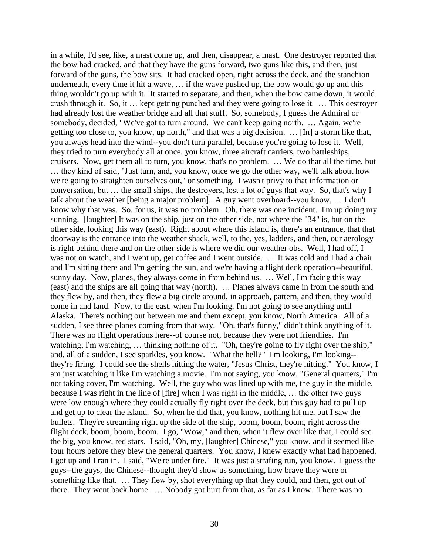in a while, I'd see, like, a mast come up, and then, disappear, a mast. One destroyer reported that the bow had cracked, and that they have the guns forward, two guns like this, and then, just forward of the guns, the bow sits. It had cracked open, right across the deck, and the stanchion underneath, every time it hit a wave, … if the wave pushed up, the bow would go up and this thing wouldn't go up with it. It started to separate, and then, when the bow came down, it would crash through it. So, it … kept getting punched and they were going to lose it. … This destroyer had already lost the weather bridge and all that stuff. So, somebody, I guess the Admiral or somebody, decided, "We've got to turn around. We can't keep going north. … Again, we're getting too close to, you know, up north," and that was a big decision. … [In] a storm like that, you always head into the wind--you don't turn parallel, because you're going to lose it. Well, they tried to turn everybody all at once, you know, three aircraft carriers, two battleships, cruisers. Now, get them all to turn, you know, that's no problem. … We do that all the time, but

… they kind of said, "Just turn, and, you know, once we go the other way, we'll talk about how we're going to straighten ourselves out," or something. I wasn't privy to that information or conversation, but … the small ships, the destroyers, lost a lot of guys that way. So, that's why I talk about the weather [being a major problem]. A guy went overboard--you know, … I don't know why that was. So, for us, it was no problem. Oh, there was one incident. I'm up doing my sunning. [laughter] It was on the ship, just on the other side, not where the "34" is, but on the other side, looking this way (east). Right about where this island is, there's an entrance, that that doorway is the entrance into the weather shack, well, to the, yes, ladders, and then, our aerology is right behind there and on the other side is where we did our weather obs. Well, I had off, I was not on watch, and I went up, get coffee and I went outside. … It was cold and I had a chair and I'm sitting there and I'm getting the sun, and we're having a flight deck operation--beautiful, sunny day. Now, planes, they always come in from behind us. … Well, I'm facing this way (east) and the ships are all going that way (north). … Planes always came in from the south and they flew by, and then, they flew a big circle around, in approach, pattern, and then, they would come in and land. Now, to the east, when I'm looking, I'm not going to see anything until Alaska. There's nothing out between me and them except, you know, North America. All of a sudden, I see three planes coming from that way. "Oh, that's funny," didn't think anything of it. There was no flight operations here--of course not, because they were not friendlies. I'm watching, I'm watching, ... thinking nothing of it. "Oh, they're going to fly right over the ship," and, all of a sudden, I see sparkles, you know. "What the hell?" I'm looking, I'm looking- they're firing. I could see the shells hitting the water, "Jesus Christ, they're hitting." You know, I am just watching it like I'm watching a movie. I'm not saying, you know, "General quarters," I'm not taking cover, I'm watching. Well, the guy who was lined up with me, the guy in the middle, because I was right in the line of [fire] when I was right in the middle, … the other two guys were low enough where they could actually fly right over the deck, but this guy had to pull up and get up to clear the island. So, when he did that, you know, nothing hit me, but I saw the bullets. They're streaming right up the side of the ship, boom, boom, boom, right across the flight deck, boom, boom, boom. I go, "Wow," and then, when it flew over like that, I could see the big, you know, red stars. I said, "Oh, my, [laughter] Chinese," you know, and it seemed like four hours before they blew the general quarters. You know, I knew exactly what had happened. I got up and I ran in. I said, "We're under fire." It was just a strafing run, you know. I guess the guys--the guys, the Chinese--thought they'd show us something, how brave they were or something like that. … They flew by, shot everything up that they could, and then, got out of there. They went back home. … Nobody got hurt from that, as far as I know. There was no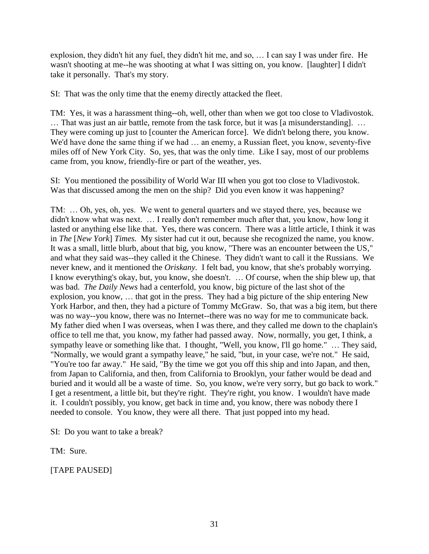explosion, they didn't hit any fuel, they didn't hit me, and so, … I can say I was under fire. He wasn't shooting at me--he was shooting at what I was sitting on, you know. [laughter] I didn't take it personally. That's my story.

SI: That was the only time that the enemy directly attacked the fleet.

TM: Yes, it was a harassment thing--oh, well, other than when we got too close to Vladivostok. … That was just an air battle, remote from the task force, but it was [a misunderstanding]. … They were coming up just to [counter the American force]. We didn't belong there, you know. We'd have done the same thing if we had  $\ldots$  an enemy, a Russian fleet, you know, seventy-five miles off of New York City. So, yes, that was the only time. Like I say, most of our problems came from, you know, friendly-fire or part of the weather, yes.

SI: You mentioned the possibility of World War III when you got too close to Vladivostok. Was that discussed among the men on the ship? Did you even know it was happening?

TM: … Oh, yes, oh, yes. We went to general quarters and we stayed there, yes, because we didn't know what was next. … I really don't remember much after that, you know, how long it lasted or anything else like that. Yes, there was concern. There was a little article, I think it was in *The* [*New York*] *Times*. My sister had cut it out, because she recognized the name, you know. It was a small, little blurb, about that big, you know, "There was an encounter between the US," and what they said was--they called it the Chinese. They didn't want to call it the Russians. We never knew, and it mentioned the *Oriskany.* I felt bad, you know, that she's probably worrying. I know everything's okay, but, you know, she doesn't. … Of course, when the ship blew up, that was bad. *The Daily News* had a centerfold, you know, big picture of the last shot of the explosion, you know, … that got in the press. They had a big picture of the ship entering New York Harbor, and then, they had a picture of Tommy McGraw. So, that was a big item, but there was no way--you know, there was no Internet--there was no way for me to communicate back. My father died when I was overseas, when I was there, and they called me down to the chaplain's office to tell me that, you know, my father had passed away. Now, normally, you get, I think, a sympathy leave or something like that. I thought, "Well, you know, I'll go home." ... They said, "Normally, we would grant a sympathy leave," he said, "but, in your case, we're not." He said, "You're too far away." He said, "By the time we got you off this ship and into Japan, and then, from Japan to California, and then, from California to Brooklyn, your father would be dead and buried and it would all be a waste of time. So, you know, we're very sorry, but go back to work." I get a resentment, a little bit, but they're right. They're right, you know. I wouldn't have made it. I couldn't possibly, you know, get back in time and, you know, there was nobody there I needed to console. You know, they were all there. That just popped into my head.

SI: Do you want to take a break?

TM: Sure.

[TAPE PAUSED]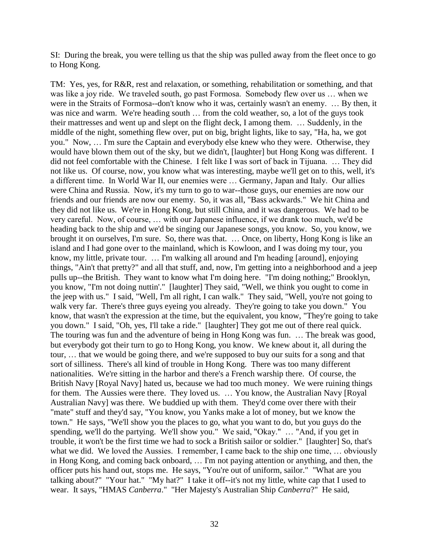SI: During the break, you were telling us that the ship was pulled away from the fleet once to go to Hong Kong.

TM: Yes, yes, for R&R, rest and relaxation, or something, rehabilitation or something, and that was like a joy ride. We traveled south, go past Formosa. Somebody flew over us … when we were in the Straits of Formosa--don't know who it was, certainly wasn't an enemy. … By then, it was nice and warm. We're heading south … from the cold weather, so, a lot of the guys took their mattresses and went up and slept on the flight deck, I among them. … Suddenly, in the middle of the night, something flew over, put on big, bright lights, like to say, "Ha, ha, we got you." Now, … I'm sure the Captain and everybody else knew who they were. Otherwise, they would have blown them out of the sky, but we didn't, [laughter] but Hong Kong was different. I did not feel comfortable with the Chinese. I felt like I was sort of back in Tijuana. … They did not like us. Of course, now, you know what was interesting, maybe we'll get on to this, well, it's a different time. In World War II, our enemies were … Germany, Japan and Italy. Our allies were China and Russia. Now, it's my turn to go to war--those guys, our enemies are now our friends and our friends are now our enemy. So, it was all, "Bass ackwards." We hit China and they did not like us. We're in Hong Kong, but still China, and it was dangerous. We had to be very careful. Now, of course, … with our Japanese influence, if we drank too much, we'd be heading back to the ship and we'd be singing our Japanese songs, you know. So, you know, we brought it on ourselves, I'm sure. So, there was that. … Once, on liberty, Hong Kong is like an island and I had gone over to the mainland, which is Kowloon, and I was doing my tour, you know, my little, private tour. … I'm walking all around and I'm heading [around], enjoying things, "Ain't that pretty?" and all that stuff, and, now, I'm getting into a neighborhood and a jeep pulls up--the British. They want to know what I'm doing here. "I'm doing nothing;" Brooklyn, you know, "I'm not doing nuttin'." [laughter] They said, "Well, we think you ought to come in the jeep with us." I said, "Well, I'm all right, I can walk." They said, "Well, you're not going to walk very far. There's three guys eyeing you already. They're going to take you down." You know, that wasn't the expression at the time, but the equivalent, you know, "They're going to take you down." I said, "Oh, yes, I'll take a ride." [laughter] They got me out of there real quick. The touring was fun and the adventure of being in Hong Kong was fun. … The break was good, but everybody got their turn to go to Hong Kong, you know. We knew about it, all during the tour, … that we would be going there, and we're supposed to buy our suits for a song and that sort of silliness. There's all kind of trouble in Hong Kong. There was too many different nationalities. We're sitting in the harbor and there's a French warship there. Of course, the British Navy [Royal Navy] hated us, because we had too much money. We were ruining things for them. The Aussies were there. They loved us. … You know, the Australian Navy [Royal Australian Navy] was there. We buddied up with them. They'd come over there with their "mate" stuff and they'd say, "You know, you Yanks make a lot of money, but we know the town." He says, "We'll show you the places to go, what you want to do, but you guys do the spending, we'll do the partying. We'll show you." We said, "Okay." … "And, if you get in trouble, it won't be the first time we had to sock a British sailor or soldier." [laughter] So, that's what we did. We loved the Aussies. I remember, I came back to the ship one time, ... obviously in Hong Kong, and coming back onboard, … I'm not paying attention or anything, and then, the officer puts his hand out, stops me. He says, "You're out of uniform, sailor." "What are you talking about?" "Your hat." "My hat?" I take it off--it's not my little, white cap that I used to wear. It says, "HMAS *Canberra*." "Her Majesty's Australian Ship *Canberra*?" He said,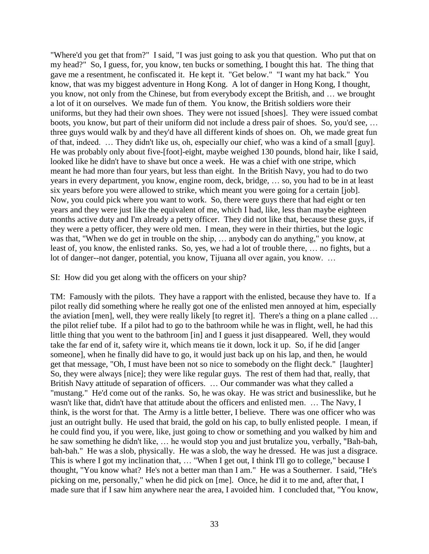"Where'd you get that from?" I said, "I was just going to ask you that question. Who put that on my head?" So, I guess, for, you know, ten bucks or something, I bought this hat. The thing that gave me a resentment, he confiscated it. He kept it. "Get below." "I want my hat back." You know, that was my biggest adventure in Hong Kong. A lot of danger in Hong Kong, I thought, you know, not only from the Chinese, but from everybody except the British, and … we brought a lot of it on ourselves. We made fun of them. You know, the British soldiers wore their uniforms, but they had their own shoes. They were not issued [shoes]. They were issued combat boots, you know, but part of their uniform did not include a dress pair of shoes. So, you'd see, … three guys would walk by and they'd have all different kinds of shoes on. Oh, we made great fun of that, indeed. … They didn't like us, oh, especially our chief, who was a kind of a small [guy]. He was probably only about five-[foot]-eight, maybe weighed 130 pounds, blond hair, like I said, looked like he didn't have to shave but once a week. He was a chief with one stripe, which meant he had more than four years, but less than eight. In the British Navy, you had to do two years in every department, you know, engine room, deck, bridge, … so, you had to be in at least six years before you were allowed to strike, which meant you were going for a certain [job]. Now, you could pick where you want to work. So, there were guys there that had eight or ten years and they were just like the equivalent of me, which I had, like, less than maybe eighteen months active duty and I'm already a petty officer. They did not like that, because these guys, if they were a petty officer, they were old men. I mean, they were in their thirties, but the logic was that, "When we do get in trouble on the ship, … anybody can do anything," you know, at least of, you know, the enlisted ranks. So, yes, we had a lot of trouble there, … no fights, but a lot of danger--not danger, potential, you know, Tijuana all over again, you know. …

#### SI: How did you get along with the officers on your ship?

TM: Famously with the pilots. They have a rapport with the enlisted, because they have to. If a pilot really did something where he really got one of the enlisted men annoyed at him, especially the aviation [men], well, they were really likely [to regret it]. There's a thing on a plane called … the pilot relief tube. If a pilot had to go to the bathroom while he was in flight, well, he had this little thing that you went to the bathroom [in] and I guess it just disappeared. Well, they would take the far end of it, safety wire it, which means tie it down, lock it up. So, if he did [anger someone], when he finally did have to go, it would just back up on his lap, and then, he would get that message, "Oh, I must have been not so nice to somebody on the flight deck." [laughter] So, they were always [nice]; they were like regular guys. The rest of them had that, really, that British Navy attitude of separation of officers. … Our commander was what they called a "mustang." He'd come out of the ranks. So, he was okay. He was strict and businesslike, but he wasn't like that, didn't have that attitude about the officers and enlisted men. … The Navy, I think, is the worst for that. The Army is a little better, I believe. There was one officer who was just an outright bully. He used that braid, the gold on his cap, to bully enlisted people. I mean, if he could find you, if you were, like, just going to chow or something and you walked by him and he saw something he didn't like, … he would stop you and just brutalize you, verbally, "Bah-bah, bah-bah." He was a slob, physically. He was a slob, the way he dressed. He was just a disgrace. This is where I got my inclination that, … "When I get out, I think I'll go to college," because I thought, "You know what? He's not a better man than I am." He was a Southerner. I said, "He's picking on me, personally," when he did pick on [me]. Once, he did it to me and, after that, I made sure that if I saw him anywhere near the area, I avoided him. I concluded that, "You know,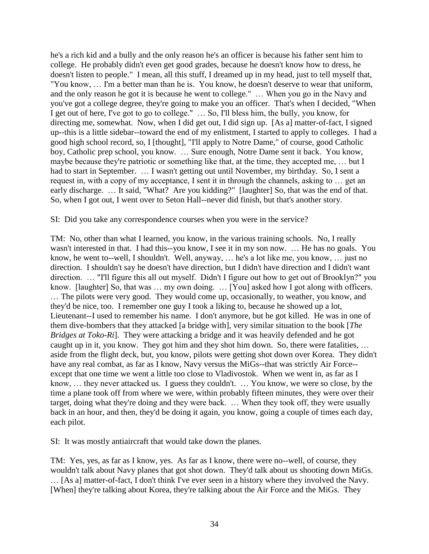he's a rich kid and a bully and the only reason he's an officer is because his father sent him to college. He probably didn't even get good grades, because he doesn't know how to dress, he doesn't listen to people." I mean, all this stuff, I dreamed up in my head, just to tell myself that, "You know, … I'm a better man than he is. You know, he doesn't deserve to wear that uniform, and the only reason he got it is because he went to college." … When you go in the Navy and you've got a college degree, they're going to make you an officer. That's when I decided, "When I get out of here, I've got to go to college." … So, I'll bless him, the bully, you know, for directing me, somewhat. Now, when I did get out, I did sign up. [As a] matter-of-fact, I signed up--this is a little sidebar--toward the end of my enlistment, I started to apply to colleges. I had a good high school record, so, I [thought], "I'll apply to Notre Dame," of course, good Catholic boy, Catholic prep school, you know. … Sure enough, Notre Dame sent it back. You know, maybe because they're patriotic or something like that, at the time, they accepted me, … but I had to start in September. … I wasn't getting out until November, my birthday. So, I sent a request in, with a copy of my acceptance, I sent it in through the channels, asking to … get an early discharge. ... It said, "What? Are you kidding?" [laughter] So, that was the end of that. So, when I got out, I went over to Seton Hall--never did finish, but that's another story.

SI: Did you take any correspondence courses when you were in the service?

TM: No, other than what I learned, you know, in the various training schools. No, I really wasn't interested in that. I had this--you know, I see it in my son now. … He has no goals. You know, he went to--well, I shouldn't. Well, anyway, … he's a lot like me, you know, … just no direction. I shouldn't say he doesn't have direction, but I didn't have direction and I didn't want direction. ... "I'll figure this all out myself. Didn't I figure out how to get out of Brooklyn?" you know. [laughter] So, that was … my own doing. … [You] asked how I got along with officers. … The pilots were very good. They would come up, occasionally, to weather, you know, and they'd be nice, too. I remember one guy I took a liking to, because he showed up a lot, Lieutenant--I used to remember his name. I don't anymore, but he got killed. He was in one of them dive-bombers that they attacked [a bridge with], very similar situation to the book [*The Bridges at Toko-Ri*]. They were attacking a bridge and it was heavily defended and he got caught up in it, you know. They got him and they shot him down. So, there were fatalities, … aside from the flight deck, but, you know, pilots were getting shot down over Korea. They didn't have any real combat, as far as I know, Navy versus the MiGs--that was strictly Air Force- except that one time we went a little too close to Vladivostok. When we went in, as far as I know, … they never attacked us. I guess they couldn't. … You know, we were so close, by the time a plane took off from where we were, within probably fifteen minutes, they were over their target, doing what they're doing and they were back. … When they took off, they were usually back in an hour, and then, they'd be doing it again, you know, going a couple of times each day, each pilot.

SI: It was mostly antiaircraft that would take down the planes.

TM: Yes, yes, as far as I know, yes. As far as I know, there were no--well, of course, they wouldn't talk about Navy planes that got shot down. They'd talk about us shooting down MiGs. … [As a] matter-of-fact, I don't think I've ever seen in a history where they involved the Navy. [When] they're talking about Korea, they're talking about the Air Force and the MiGs. They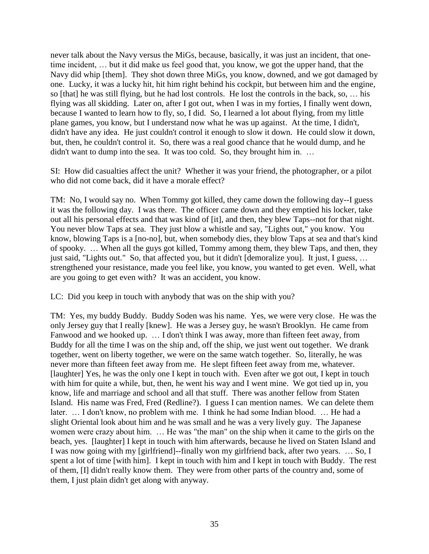never talk about the Navy versus the MiGs, because, basically, it was just an incident, that onetime incident, … but it did make us feel good that, you know, we got the upper hand, that the Navy did whip [them]. They shot down three MiGs, you know, downed, and we got damaged by one. Lucky, it was a lucky hit, hit him right behind his cockpit, but between him and the engine, so [that] he was still flying, but he had lost controls. He lost the controls in the back, so, … his flying was all skidding. Later on, after I got out, when I was in my forties, I finally went down, because I wanted to learn how to fly, so, I did. So, I learned a lot about flying, from my little plane games, you know, but I understand now what he was up against. At the time, I didn't, didn't have any idea. He just couldn't control it enough to slow it down. He could slow it down, but, then, he couldn't control it. So, there was a real good chance that he would dump, and he didn't want to dump into the sea. It was too cold. So, they brought him in. ...

SI: How did casualties affect the unit? Whether it was your friend, the photographer, or a pilot who did not come back, did it have a morale effect?

TM: No, I would say no. When Tommy got killed, they came down the following day--I guess it was the following day. I was there. The officer came down and they emptied his locker, take out all his personal effects and that was kind of [it], and then, they blew Taps--not for that night. You never blow Taps at sea. They just blow a whistle and say, "Lights out," you know. You know, blowing Taps is a [no-no], but, when somebody dies, they blow Taps at sea and that's kind of spooky. … When all the guys got killed, Tommy among them, they blew Taps, and then, they just said, "Lights out." So, that affected you, but it didn't [demoralize you]. It just, I guess, ... strengthened your resistance, made you feel like, you know, you wanted to get even. Well, what are you going to get even with? It was an accident, you know.

LC: Did you keep in touch with anybody that was on the ship with you?

TM: Yes, my buddy Buddy. Buddy Soden was his name. Yes, we were very close. He was the only Jersey guy that I really [knew]. He was a Jersey guy, he wasn't Brooklyn. He came from Fanwood and we hooked up. … I don't think I was away, more than fifteen feet away, from Buddy for all the time I was on the ship and, off the ship, we just went out together. We drank together, went on liberty together, we were on the same watch together. So, literally, he was never more than fifteen feet away from me. He slept fifteen feet away from me, whatever. [laughter] Yes, he was the only one I kept in touch with. Even after we got out, I kept in touch with him for quite a while, but, then, he went his way and I went mine. We got tied up in, you know, life and marriage and school and all that stuff. There was another fellow from Staten Island. His name was Fred, Fred (Redline?). I guess I can mention names. We can delete them later. … I don't know, no problem with me. I think he had some Indian blood. … He had a slight Oriental look about him and he was small and he was a very lively guy. The Japanese women were crazy about him. … He was "the man" on the ship when it came to the girls on the beach, yes. [laughter] I kept in touch with him afterwards, because he lived on Staten Island and I was now going with my [girlfriend]--finally won my girlfriend back, after two years. … So, I spent a lot of time [with him]. I kept in touch with him and I kept in touch with Buddy. The rest of them, [I] didn't really know them. They were from other parts of the country and, some of them, I just plain didn't get along with anyway.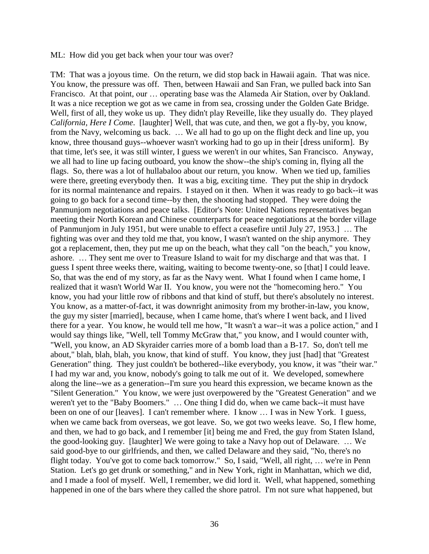ML: How did you get back when your tour was over?

TM: That was a joyous time. On the return, we did stop back in Hawaii again. That was nice. You know, the pressure was off. Then, between Hawaii and San Fran, we pulled back into San Francisco. At that point, our … operating base was the Alameda Air Station, over by Oakland. It was a nice reception we got as we came in from sea, crossing under the Golden Gate Bridge. Well, first of all, they woke us up. They didn't play Reveille, like they usually do. They played *California, Here I Come*. [laughter] Well, that was cute, and then, we got a fly-by, you know, from the Navy, welcoming us back. … We all had to go up on the flight deck and line up, you know, three thousand guys--whoever wasn't working had to go up in their [dress uniform]. By that time, let's see, it was still winter, I guess we weren't in our whites, San Francisco. Anyway, we all had to line up facing outboard, you know the show--the ship's coming in, flying all the flags. So, there was a lot of hullabaloo about our return, you know. When we tied up, families were there, greeting everybody then. It was a big, exciting time. They put the ship in drydock for its normal maintenance and repairs. I stayed on it then. When it was ready to go back--it was going to go back for a second time--by then, the shooting had stopped. They were doing the Panmunjom negotiations and peace talks. [Editor's Note: United Nations representatives began meeting their North Korean and Chinese counterparts for peace negotiations at the border village of Panmunjom in July 1951, but were unable to effect a ceasefire until July 27, 1953.] … The fighting was over and they told me that, you know, I wasn't wanted on the ship anymore. They got a replacement, then, they put me up on the beach, what they call "on the beach," you know, ashore. … They sent me over to Treasure Island to wait for my discharge and that was that. I guess I spent three weeks there, waiting, waiting to become twenty-one, so [that] I could leave. So, that was the end of my story, as far as the Navy went. What I found when I came home, I realized that it wasn't World War II. You know, you were not the "homecoming hero." You know, you had your little row of ribbons and that kind of stuff, but there's absolutely no interest. You know, as a matter-of-fact, it was downright animosity from my brother-in-law, you know, the guy my sister [married], because, when I came home, that's where I went back, and I lived there for a year. You know, he would tell me how, "It wasn't a war--it was a police action," and I would say things like, "Well, tell Tommy McGraw that," you know, and I would counter with, "Well, you know, an AD Skyraider carries more of a bomb load than a B-17. So, don't tell me about," blah, blah, blah, you know, that kind of stuff. You know, they just [had] that "Greatest Generation" thing. They just couldn't be bothered--like everybody, you know, it was "their war." I had my war and, you know, nobody's going to talk me out of it. We developed, somewhere along the line--we as a generation--I'm sure you heard this expression, we became known as the "Silent Generation." You know, we were just overpowered by the "Greatest Generation" and we weren't yet to the "Baby Boomers." … One thing I did do, when we came back--it must have been on one of our [leaves]. I can't remember where. I know … I was in New York. I guess, when we came back from overseas, we got leave. So, we got two weeks leave. So, I flew home, and then, we had to go back, and I remember [it] being me and Fred, the guy from Staten Island, the good-looking guy. [laughter] We were going to take a Navy hop out of Delaware. … We said good-bye to our girlfriends, and then, we called Delaware and they said, "No, there's no flight today. You've got to come back tomorrow." So, I said, "Well, all right, … we're in Penn Station. Let's go get drunk or something," and in New York, right in Manhattan, which we did, and I made a fool of myself. Well, I remember, we did lord it. Well, what happened, something happened in one of the bars where they called the shore patrol. I'm not sure what happened, but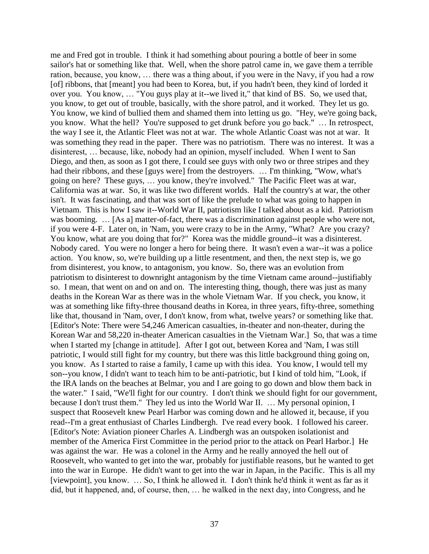me and Fred got in trouble. I think it had something about pouring a bottle of beer in some sailor's hat or something like that. Well, when the shore patrol came in, we gave them a terrible ration, because, you know, … there was a thing about, if you were in the Navy, if you had a row [of] ribbons, that [meant] you had been to Korea, but, if you hadn't been, they kind of lorded it over you. You know, … "You guys play at it--we lived it," that kind of BS. So, we used that, you know, to get out of trouble, basically, with the shore patrol, and it worked. They let us go. You know, we kind of bullied them and shamed them into letting us go. "Hey, we're going back, you know. What the hell? You're supposed to get drunk before you go back." … In retrospect, the way I see it, the Atlantic Fleet was not at war. The whole Atlantic Coast was not at war. It was something they read in the paper. There was no patriotism. There was no interest. It was a disinterest, … because, like, nobody had an opinion, myself included. When I went to San Diego, and then, as soon as I got there, I could see guys with only two or three stripes and they had their ribbons, and these [guys were] from the destroyers. … I'm thinking, "Wow, what's going on here? These guys, … you know, they're involved." The Pacific Fleet was at war, California was at war. So, it was like two different worlds. Half the country's at war, the other isn't. It was fascinating, and that was sort of like the prelude to what was going to happen in Vietnam. This is how I saw it--World War II, patriotism like I talked about as a kid. Patriotism was booming. ... [As a] matter-of-fact, there was a discrimination against people who were not, if you were 4-F. Later on, in 'Nam, you were crazy to be in the Army, "What? Are you crazy? You know, what are you doing that for?" Korea was the middle ground--it was a disinterest. Nobody cared. You were no longer a hero for being there. It wasn't even a war--it was a police action. You know, so, we're building up a little resentment, and then, the next step is, we go from disinterest, you know, to antagonism, you know. So, there was an evolution from patriotism to disinterest to downright antagonism by the time Vietnam came around--justifiably so. I mean, that went on and on and on. The interesting thing, though, there was just as many deaths in the Korean War as there was in the whole Vietnam War. If you check, you know, it was at something like fifty-three thousand deaths in Korea, in three years, fifty-three, something like that, thousand in 'Nam, over, I don't know, from what, twelve years? or something like that. [Editor's Note: There were 54,246 American casualties, in-theater and non-theater, during the Korean War and 58,220 in-theater American casualties in the Vietnam War.] So, that was a time when I started my [change in attitude]. After I got out, between Korea and 'Nam, I was still patriotic, I would still fight for my country, but there was this little background thing going on, you know. As I started to raise a family, I came up with this idea. You know, I would tell my son--you know, I didn't want to teach him to be anti-patriotic, but I kind of told him, "Look, if the IRA lands on the beaches at Belmar, you and I are going to go down and blow them back in the water." I said, "We'll fight for our country. I don't think we should fight for our government, because I don't trust them." They led us into the World War II. … My personal opinion, I suspect that Roosevelt knew Pearl Harbor was coming down and he allowed it, because, if you read--I'm a great enthusiast of Charles Lindbergh. I've read every book. I followed his career. [Editor's Note: Aviation pioneer Charles A. Lindbergh was an outspoken isolationist and member of the America First Committee in the period prior to the attack on Pearl Harbor.] He was against the war. He was a colonel in the Army and he really annoyed the hell out of Roosevelt, who wanted to get into the war, probably for justifiable reasons, but he wanted to get into the war in Europe. He didn't want to get into the war in Japan, in the Pacific. This is all my [viewpoint], you know. … So, I think he allowed it. I don't think he'd think it went as far as it did, but it happened, and, of course, then, … he walked in the next day, into Congress, and he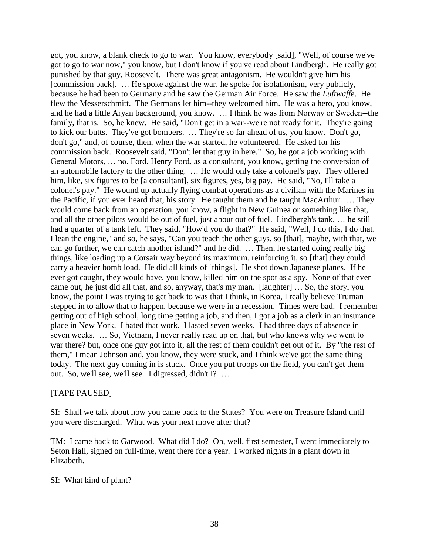got, you know, a blank check to go to war. You know, everybody [said], "Well, of course we've got to go to war now," you know, but I don't know if you've read about Lindbergh. He really got punished by that guy, Roosevelt. There was great antagonism. He wouldn't give him his [commission back]. … He spoke against the war, he spoke for isolationism, very publicly, because he had been to Germany and he saw the German Air Force. He saw the *Luftwaffe*. He flew the Messerschmitt. The Germans let him--they welcomed him. He was a hero, you know, and he had a little Aryan background, you know. … I think he was from Norway or Sweden--the family, that is. So, he knew. He said, "Don't get in a war--we're not ready for it. They're going to kick our butts. They've got bombers. … They're so far ahead of us, you know. Don't go, don't go," and, of course, then, when the war started, he volunteered. He asked for his commission back. Roosevelt said, "Don't let that guy in here." So, he got a job working with General Motors, … no, Ford, Henry Ford, as a consultant, you know, getting the conversion of an automobile factory to the other thing. … He would only take a colonel's pay. They offered him, like, six figures to be [a consultant], six figures, yes, big pay. He said, "No, I'll take a colonel's pay." He wound up actually flying combat operations as a civilian with the Marines in the Pacific, if you ever heard that, his story. He taught them and he taught MacArthur. … They would come back from an operation, you know, a flight in New Guinea or something like that, and all the other pilots would be out of fuel, just about out of fuel. Lindbergh's tank, … he still had a quarter of a tank left. They said, "How'd you do that?" He said, "Well, I do this, I do that. I lean the engine," and so, he says, "Can you teach the other guys, so [that], maybe, with that, we can go further, we can catch another island?" and he did. … Then, he started doing really big things, like loading up a Corsair way beyond its maximum, reinforcing it, so [that] they could carry a heavier bomb load. He did all kinds of [things]. He shot down Japanese planes. If he ever got caught, they would have, you know, killed him on the spot as a spy. None of that ever came out, he just did all that, and so, anyway, that's my man. [laughter] … So, the story, you know, the point I was trying to get back to was that I think, in Korea, I really believe Truman stepped in to allow that to happen, because we were in a recession. Times were bad. I remember getting out of high school, long time getting a job, and then, I got a job as a clerk in an insurance place in New York. I hated that work. I lasted seven weeks. I had three days of absence in seven weeks. … So, Vietnam, I never really read up on that, but who knows why we went to war there? but, once one guy got into it, all the rest of them couldn't get out of it. By "the rest of them," I mean Johnson and, you know, they were stuck, and I think we've got the same thing today. The next guy coming in is stuck. Once you put troops on the field, you can't get them out. So, we'll see, we'll see. I digressed, didn't I? …

### [TAPE PAUSED]

SI: Shall we talk about how you came back to the States? You were on Treasure Island until you were discharged. What was your next move after that?

TM: I came back to Garwood. What did I do? Oh, well, first semester, I went immediately to Seton Hall, signed on full-time, went there for a year. I worked nights in a plant down in Elizabeth.

#### SI: What kind of plant?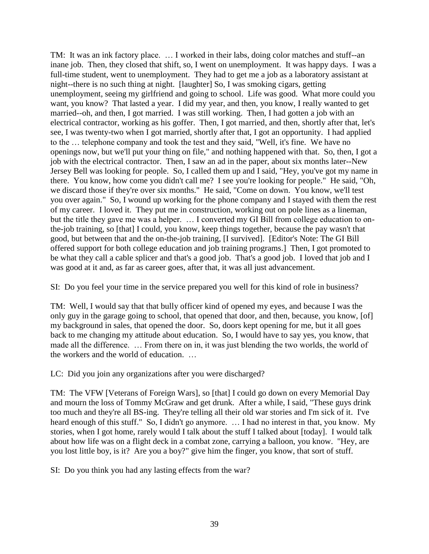TM: It was an ink factory place. … I worked in their labs, doing color matches and stuff--an inane job. Then, they closed that shift, so, I went on unemployment. It was happy days. I was a full-time student, went to unemployment. They had to get me a job as a laboratory assistant at night--there is no such thing at night. [laughter] So, I was smoking cigars, getting unemployment, seeing my girlfriend and going to school. Life was good. What more could you want, you know? That lasted a year. I did my year, and then, you know, I really wanted to get married--oh, and then, I got married. I was still working. Then, I had gotten a job with an electrical contractor, working as his goffer. Then, I got married, and then, shortly after that, let's see, I was twenty-two when I got married, shortly after that, I got an opportunity. I had applied to the … telephone company and took the test and they said, "Well, it's fine. We have no openings now, but we'll put your thing on file," and nothing happened with that. So, then, I got a job with the electrical contractor. Then, I saw an ad in the paper, about six months later--New Jersey Bell was looking for people. So, I called them up and I said, "Hey, you've got my name in there. You know, how come you didn't call me? I see you're looking for people." He said, "Oh, we discard those if they're over six months." He said, "Come on down. You know, we'll test you over again." So, I wound up working for the phone company and I stayed with them the rest of my career. I loved it. They put me in construction, working out on pole lines as a lineman, but the title they gave me was a helper. … I converted my GI Bill from college education to onthe-job training, so [that] I could, you know, keep things together, because the pay wasn't that good, but between that and the on-the-job training, [I survived]. [Editor's Note: The GI Bill offered support for both college education and job training programs.] Then, I got promoted to be what they call a cable splicer and that's a good job. That's a good job. I loved that job and I was good at it and, as far as career goes, after that, it was all just advancement.

SI: Do you feel your time in the service prepared you well for this kind of role in business?

TM: Well, I would say that that bully officer kind of opened my eyes, and because I was the only guy in the garage going to school, that opened that door, and then, because, you know, [of] my background in sales, that opened the door. So, doors kept opening for me, but it all goes back to me changing my attitude about education. So, I would have to say yes, you know, that made all the difference. … From there on in, it was just blending the two worlds, the world of the workers and the world of education. …

LC: Did you join any organizations after you were discharged?

TM: The VFW [Veterans of Foreign Wars], so [that] I could go down on every Memorial Day and mourn the loss of Tommy McGraw and get drunk. After a while, I said, "These guys drink too much and they're all BS-ing. They're telling all their old war stories and I'm sick of it. I've heard enough of this stuff." So, I didn't go anymore. ... I had no interest in that, you know. My stories, when I got home, rarely would I talk about the stuff I talked about [today]. I would talk about how life was on a flight deck in a combat zone, carrying a balloon, you know. "Hey, are you lost little boy, is it? Are you a boy?" give him the finger, you know, that sort of stuff.

SI: Do you think you had any lasting effects from the war?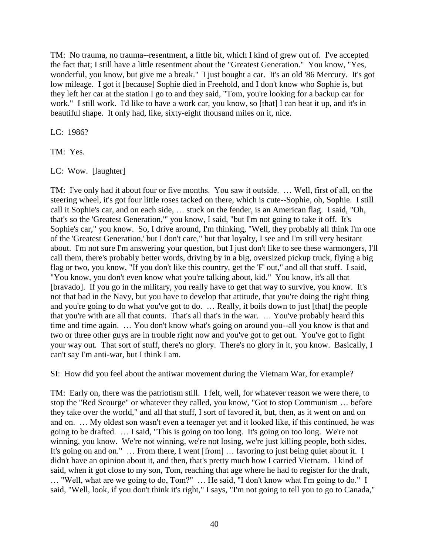TM: No trauma, no trauma--resentment, a little bit, which I kind of grew out of. I've accepted the fact that; I still have a little resentment about the "Greatest Generation." You know, "Yes, wonderful, you know, but give me a break." I just bought a car. It's an old '86 Mercury. It's got low mileage. I got it [because] Sophie died in Freehold, and I don't know who Sophie is, but they left her car at the station I go to and they said, "Tom, you're looking for a backup car for work." I still work. I'd like to have a work car, you know, so [that] I can beat it up, and it's in beautiful shape. It only had, like, sixty-eight thousand miles on it, nice.

LC: 1986?

TM: Yes.

LC: Wow. [laughter]

TM: I've only had it about four or five months. You saw it outside. … Well, first of all, on the steering wheel, it's got four little roses tacked on there, which is cute--Sophie, oh, Sophie. I still call it Sophie's car, and on each side, … stuck on the fender, is an American flag. I said, "Oh, that's so the 'Greatest Generation,'" you know, I said, "but I'm not going to take it off. It's Sophie's car," you know. So, I drive around, I'm thinking, "Well, they probably all think I'm one of the 'Greatest Generation,' but I don't care," but that loyalty, I see and I'm still very hesitant about. I'm not sure I'm answering your question, but I just don't like to see these warmongers, I'll call them, there's probably better words, driving by in a big, oversized pickup truck, flying a big flag or two, you know, "If you don't like this country, get the 'F' out," and all that stuff. I said, "You know, you don't even know what you're talking about, kid." You know, it's all that [bravado]. If you go in the military, you really have to get that way to survive, you know. It's not that bad in the Navy, but you have to develop that attitude, that you're doing the right thing and you're going to do what you've got to do. … Really, it boils down to just [that] the people that you're with are all that counts. That's all that's in the war. … You've probably heard this time and time again. … You don't know what's going on around you--all you know is that and two or three other guys are in trouble right now and you've got to get out. You've got to fight your way out. That sort of stuff, there's no glory. There's no glory in it, you know. Basically, I can't say I'm anti-war, but I think I am.

SI: How did you feel about the antiwar movement during the Vietnam War, for example?

TM: Early on, there was the patriotism still. I felt, well, for whatever reason we were there, to stop the "Red Scourge" or whatever they called, you know, "Got to stop Communism … before they take over the world," and all that stuff, I sort of favored it, but, then, as it went on and on and on. … My oldest son wasn't even a teenager yet and it looked like, if this continued, he was going to be drafted. … I said, "This is going on too long. It's going on too long. We're not winning, you know. We're not winning, we're not losing, we're just killing people, both sides. It's going on and on." ... From there, I went [from] ... favoring to just being quiet about it. I didn't have an opinion about it, and then, that's pretty much how I carried Vietnam. I kind of said, when it got close to my son, Tom, reaching that age where he had to register for the draft, … "Well, what are we going to do, Tom?" … He said, "I don't know what I'm going to do." I said, "Well, look, if you don't think it's right," I says, "I'm not going to tell you to go to Canada,"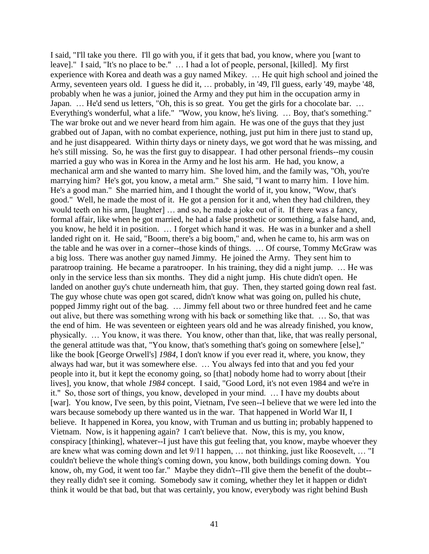I said, "I'll take you there. I'll go with you, if it gets that bad, you know, where you [want to leave]." I said, "It's no place to be." … I had a lot of people, personal, [killed]. My first experience with Korea and death was a guy named Mikey. … He quit high school and joined the Army, seventeen years old. I guess he did it, … probably, in '49, I'll guess, early '49, maybe '48, probably when he was a junior, joined the Army and they put him in the occupation army in Japan. ... He'd send us letters, "Oh, this is so great. You get the girls for a chocolate bar. ... Everything's wonderful, what a life." "Wow, you know, he's living. … Boy, that's something." The war broke out and we never heard from him again. He was one of the guys that they just grabbed out of Japan, with no combat experience, nothing, just put him in there just to stand up, and he just disappeared. Within thirty days or ninety days, we got word that he was missing, and he's still missing. So, he was the first guy to disappear. I had other personal friends--my cousin married a guy who was in Korea in the Army and he lost his arm. He had, you know, a mechanical arm and she wanted to marry him. She loved him, and the family was, "Oh, you're marrying him? He's got, you know, a metal arm." She said, "I want to marry him. I love him. He's a good man." She married him, and I thought the world of it, you know, "Wow, that's good." Well, he made the most of it. He got a pension for it and, when they had children, they would teeth on his arm, [laughter] … and so, he made a joke out of it. If there was a fancy, formal affair, like when he got married, he had a false prosthetic or something, a false hand, and, you know, he held it in position. … I forget which hand it was. He was in a bunker and a shell landed right on it. He said, "Boom, there's a big boom," and, when he came to, his arm was on the table and he was over in a corner--those kinds of things. … Of course, Tommy McGraw was a big loss. There was another guy named Jimmy. He joined the Army. They sent him to paratroop training. He became a paratrooper. In his training, they did a night jump. … He was only in the service less than six months. They did a night jump. His chute didn't open. He landed on another guy's chute underneath him, that guy. Then, they started going down real fast. The guy whose chute was open got scared, didn't know what was going on, pulled his chute, popped Jimmy right out of the bag. … Jimmy fell about two or three hundred feet and he came out alive, but there was something wrong with his back or something like that. … So, that was the end of him. He was seventeen or eighteen years old and he was already finished, you know, physically. … You know, it was there. You know, other than that, like, that was really personal, the general attitude was that, "You know, that's something that's going on somewhere [else]," like the book [George Orwell's] *1984*, I don't know if you ever read it, where, you know, they always had war, but it was somewhere else. … You always fed into that and you fed your people into it, but it kept the economy going, so [that] nobody home had to worry about [their lives], you know, that whole *1984* concept. I said, "Good Lord, it's not even 1984 and we're in it." So, those sort of things, you know, developed in your mind. … I have my doubts about [war]. You know, I've seen, by this point, Vietnam, I've seen--I believe that we were led into the wars because somebody up there wanted us in the war. That happened in World War II, I believe. It happened in Korea, you know, with Truman and us butting in; probably happened to Vietnam. Now, is it happening again? I can't believe that. Now, this is my, you know, conspiracy [thinking], whatever--I just have this gut feeling that, you know, maybe whoever they are knew what was coming down and let 9/11 happen, … not thinking, just like Roosevelt, … "I couldn't believe the whole thing's coming down, you know, both buildings coming down. You know, oh, my God, it went too far." Maybe they didn't--I'll give them the benefit of the doubt- they really didn't see it coming. Somebody saw it coming, whether they let it happen or didn't think it would be that bad, but that was certainly, you know, everybody was right behind Bush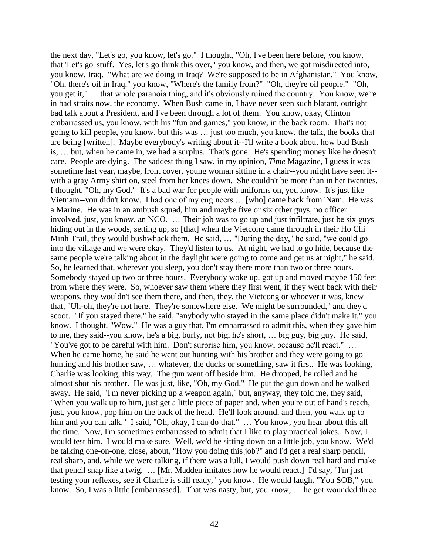the next day, "Let's go, you know, let's go." I thought, "Oh, I've been here before, you know, that 'Let's go' stuff. Yes, let's go think this over," you know, and then, we got misdirected into, you know, Iraq. "What are we doing in Iraq? We're supposed to be in Afghanistan." You know, "Oh, there's oil in Iraq," you know, "Where's the family from?" "Oh, they're oil people." "Oh, you get it," … that whole paranoia thing, and it's obviously ruined the country. You know, we're in bad straits now, the economy. When Bush came in, I have never seen such blatant, outright bad talk about a President, and I've been through a lot of them. You know, okay, Clinton embarrassed us, you know, with his "fun and games," you know, in the back room. That's not going to kill people, you know, but this was … just too much, you know, the talk, the books that are being [written]. Maybe everybody's writing about it--I'll write a book about how bad Bush is, … but, when he came in, we had a surplus. That's gone. He's spending money like he doesn't care. People are dying. The saddest thing I saw, in my opinion, *Time* Magazine, I guess it was sometime last year, maybe, front cover, young woman sitting in a chair--you might have seen it- with a gray Army shirt on, steel from her knees down. She couldn't be more than in her twenties. I thought, "Oh, my God." It's a bad war for people with uniforms on, you know. It's just like Vietnam--you didn't know. I had one of my engineers … [who] came back from 'Nam. He was a Marine. He was in an ambush squad, him and maybe five or six other guys, no officer involved, just, you know, an NCO. … Their job was to go up and just infiltrate, just be six guys hiding out in the woods, setting up, so [that] when the Vietcong came through in their Ho Chi Minh Trail, they would bushwhack them. He said, … "During the day," he said, "we could go into the village and we were okay. They'd listen to us. At night, we had to go hide, because the same people we're talking about in the daylight were going to come and get us at night," he said. So, he learned that, wherever you sleep, you don't stay there more than two or three hours. Somebody stayed up two or three hours. Everybody woke up, got up and moved maybe 150 feet from where they were. So, whoever saw them where they first went, if they went back with their weapons, they wouldn't see them there, and then, they, the Vietcong or whoever it was, knew that, "Uh-oh, they're not here. They're somewhere else. We might be surrounded," and they'd scoot. "If you stayed there," he said, "anybody who stayed in the same place didn't make it," you know. I thought, "Wow." He was a guy that, I'm embarrassed to admit this, when they gave him to me, they said--you know, he's a big, burly, not big, he's short, … big guy, big guy. He said, "You've got to be careful with him. Don't surprise him, you know, because he'll react." … When he came home, he said he went out hunting with his brother and they were going to go hunting and his brother saw, ... whatever, the ducks or something, saw it first. He was looking, Charlie was looking, this way. The gun went off beside him. He dropped, he rolled and he almost shot his brother. He was just, like, "Oh, my God." He put the gun down and he walked away. He said, "I'm never picking up a weapon again," but, anyway, they told me, they said, "When you walk up to him, just get a little piece of paper and, when you're out of hand's reach, just, you know, pop him on the back of the head. He'll look around, and then, you walk up to him and you can talk." I said, "Oh, okay, I can do that." ... You know, you hear about this all the time. Now, I'm sometimes embarrassed to admit that I like to play practical jokes. Now, I would test him. I would make sure. Well, we'd be sitting down on a little job, you know. We'd be talking one-on-one, close, about, "How you doing this job?" and I'd get a real sharp pencil, real sharp, and, while we were talking, if there was a lull, I would push down real hard and make that pencil snap like a twig. … [Mr. Madden imitates how he would react.] I'd say, "I'm just testing your reflexes, see if Charlie is still ready," you know. He would laugh, "You SOB," you know. So, I was a little [embarrassed]. That was nasty, but, you know, ... he got wounded three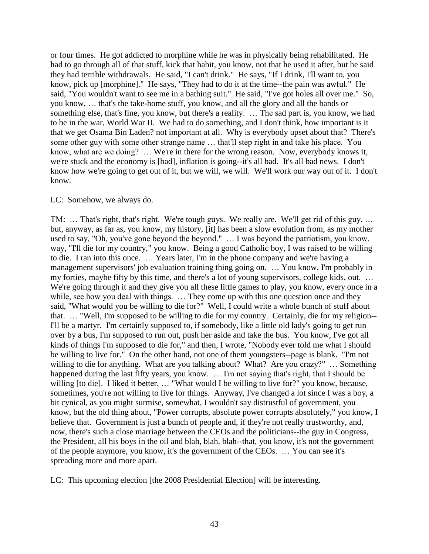or four times. He got addicted to morphine while he was in physically being rehabilitated. He had to go through all of that stuff, kick that habit, you know, not that he used it after, but he said they had terrible withdrawals. He said, "I can't drink." He says, "If I drink, I'll want to, you know, pick up [morphine]." He says, "They had to do it at the time--the pain was awful." He said, "You wouldn't want to see me in a bathing suit." He said, "I've got holes all over me." So, you know, … that's the take-home stuff, you know, and all the glory and all the bands or something else, that's fine, you know, but there's a reality. … The sad part is, you know, we had to be in the war, World War II. We had to do something, and I don't think, how important is it that we get Osama Bin Laden? not important at all. Why is everybody upset about that? There's some other guy with some other strange name … that'll step right in and take his place. You know, what are we doing? ... We're in there for the wrong reason. Now, everybody knows it, we're stuck and the economy is [bad], inflation is going--it's all bad. It's all bad news. I don't know how we're going to get out of it, but we will, we will. We'll work our way out of it. I don't know.

### LC: Somehow, we always do.

TM: … That's right, that's right. We're tough guys. We really are. We'll get rid of this guy, … but, anyway, as far as, you know, my history, [it] has been a slow evolution from, as my mother used to say, "Oh, you've gone beyond the beyond." … I was beyond the patriotism, you know, way, "I'll die for my country," you know. Being a good Catholic boy, I was raised to be willing to die. I ran into this once. … Years later, I'm in the phone company and we're having a management supervisors' job evaluation training thing going on. … You know, I'm probably in my forties, maybe fifty by this time, and there's a lot of young supervisors, college kids, out. … We're going through it and they give you all these little games to play, you know, every once in a while, see how you deal with things. ... They come up with this one question once and they said, "What would you be willing to die for?" Well, I could write a whole bunch of stuff about that. … "Well, I'm supposed to be willing to die for my country. Certainly, die for my religion-- I'll be a martyr. I'm certainly supposed to, if somebody, like a little old lady's going to get run over by a bus, I'm supposed to run out, push her aside and take the bus. You know, I've got all kinds of things I'm supposed to die for," and then, I wrote, "Nobody ever told me what I should be willing to live for." On the other hand, not one of them youngsters--page is blank. "I'm not willing to die for anything. What are you talking about? What? Are you crazy?" ... Something happened during the last fifty years, you know. ... I'm not saying that's right, that I should be willing [to die]. I liked it better, … "What would I be willing to live for?" you know, because, sometimes, you're not willing to live for things. Anyway, I've changed a lot since I was a boy, a bit cynical, as you might surmise, somewhat, I wouldn't say distrustful of government, you know, but the old thing about, "Power corrupts, absolute power corrupts absolutely," you know, I believe that. Government is just a bunch of people and, if they're not really trustworthy, and, now, there's such a close marriage between the CEOs and the politicians--the guy in Congress, the President, all his boys in the oil and blah, blah, blah--that, you know, it's not the government of the people anymore, you know, it's the government of the CEOs. … You can see it's spreading more and more apart.

LC: This upcoming election [the 2008 Presidential Election] will be interesting.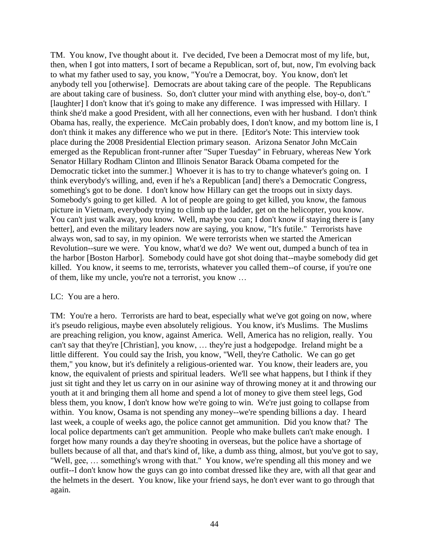TM. You know, I've thought about it. I've decided, I've been a Democrat most of my life, but, then, when I got into matters, I sort of became a Republican, sort of, but, now, I'm evolving back to what my father used to say, you know, "You're a Democrat, boy. You know, don't let anybody tell you [otherwise]. Democrats are about taking care of the people. The Republicans are about taking care of business. So, don't clutter your mind with anything else, boy-o, don't." [laughter] I don't know that it's going to make any difference. I was impressed with Hillary. I think she'd make a good President, with all her connections, even with her husband. I don't think Obama has, really, the experience. McCain probably does, I don't know, and my bottom line is, I don't think it makes any difference who we put in there. [Editor's Note: This interview took place during the 2008 Presidential Election primary season. Arizona Senator John McCain emerged as the Republican front-runner after "Super Tuesday" in February, whereas New York Senator Hillary Rodham Clinton and Illinois Senator Barack Obama competed for the Democratic ticket into the summer.] Whoever it is has to try to change whatever's going on. I think everybody's willing, and, even if he's a Republican [and] there's a Democratic Congress, something's got to be done. I don't know how Hillary can get the troops out in sixty days. Somebody's going to get killed. A lot of people are going to get killed, you know, the famous picture in Vietnam, everybody trying to climb up the ladder, get on the helicopter, you know. You can't just walk away, you know. Well, maybe you can; I don't know if staying there is [any better], and even the military leaders now are saying, you know, "It's futile." Terrorists have always won, sad to say, in my opinion. We were terrorists when we started the American Revolution--sure we were. You know, what'd we do? We went out, dumped a bunch of tea in the harbor [Boston Harbor]. Somebody could have got shot doing that--maybe somebody did get killed. You know, it seems to me, terrorists, whatever you called them--of course, if you're one of them, like my uncle, you're not a terrorist, you know …

#### LC: You are a hero.

TM: You're a hero. Terrorists are hard to beat, especially what we've got going on now, where it's pseudo religious, maybe even absolutely religious. You know, it's Muslims. The Muslims are preaching religion, you know, against America. Well, America has no religion, really. You can't say that they're [Christian], you know, … they're just a hodgepodge. Ireland might be a little different. You could say the Irish, you know, "Well, they're Catholic. We can go get them," you know, but it's definitely a religious-oriented war. You know, their leaders are, you know, the equivalent of priests and spiritual leaders. We'll see what happens, but I think if they just sit tight and they let us carry on in our asinine way of throwing money at it and throwing our youth at it and bringing them all home and spend a lot of money to give them steel legs, God bless them, you know, I don't know how we're going to win. We're just going to collapse from within. You know, Osama is not spending any money--we're spending billions a day. I heard last week, a couple of weeks ago, the police cannot get ammunition. Did you know that? The local police departments can't get ammunition. People who make bullets can't make enough. I forget how many rounds a day they're shooting in overseas, but the police have a shortage of bullets because of all that, and that's kind of, like, a dumb ass thing, almost, but you've got to say, "Well, gee, … something's wrong with that." You know, we're spending all this money and we outfit--I don't know how the guys can go into combat dressed like they are, with all that gear and the helmets in the desert. You know, like your friend says, he don't ever want to go through that again.